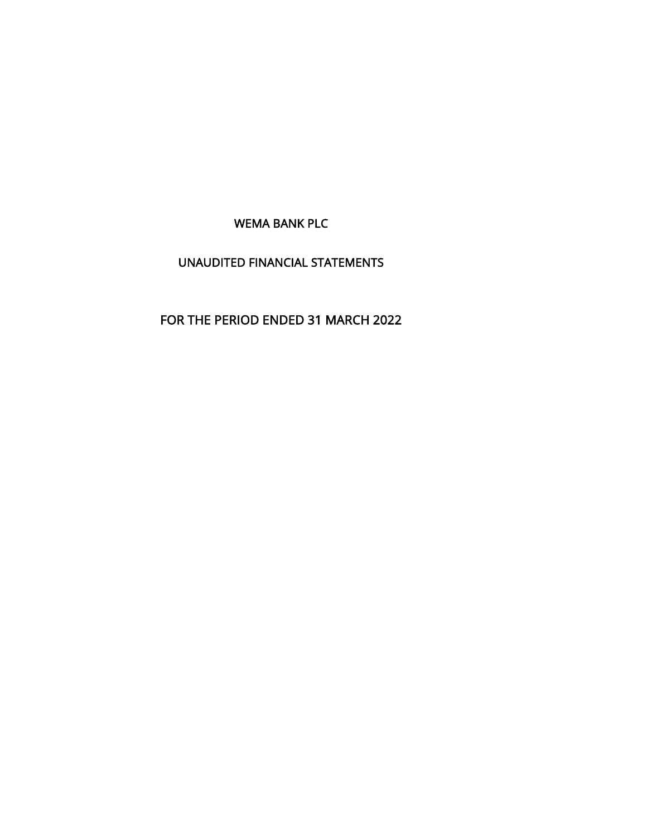WEMA BANK PLC

# UNAUDITED FINANCIAL STATEMENTS

# FOR THE PERIOD ENDED 31 MARCH 2022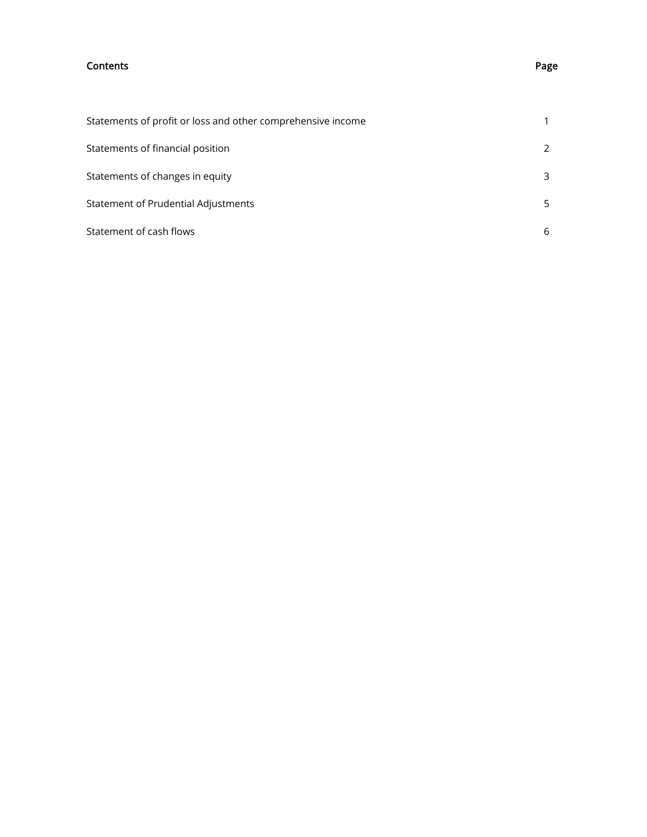## Contents Page

| Statements of profit or loss and other comprehensive income |               |
|-------------------------------------------------------------|---------------|
| Statements of financial position                            | $\mathcal{L}$ |
| Statements of changes in equity                             | 3             |
| Statement of Prudential Adjustments                         | 5             |
| Statement of cash flows                                     | 6             |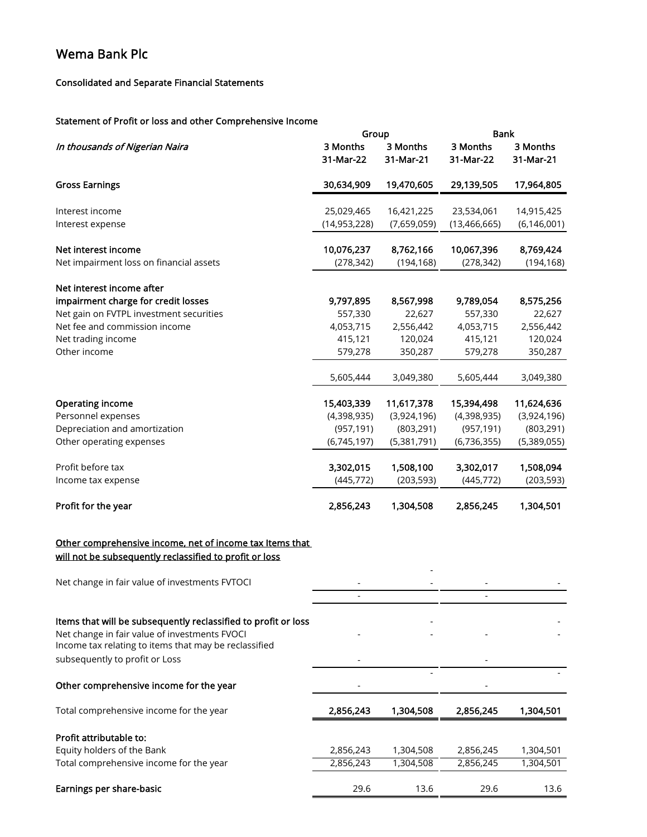# Consolidated and Separate Financial Statements

# Statement of Profit or loss and other Comprehensive Income

|                                                                                                        | Group                 |                       | <b>Bank</b>           |                       |  |
|--------------------------------------------------------------------------------------------------------|-----------------------|-----------------------|-----------------------|-----------------------|--|
| In thousands of Nigerian Naira                                                                         | 3 Months<br>31-Mar-22 | 3 Months<br>31-Mar-21 | 3 Months<br>31-Mar-22 | 3 Months<br>31-Mar-21 |  |
| <b>Gross Earnings</b>                                                                                  | 30,634,909            | 19,470,605            | 29,139,505            | 17,964,805            |  |
| Interest income                                                                                        | 25,029,465            | 16,421,225            | 23,534,061            | 14,915,425            |  |
| Interest expense                                                                                       | (14, 953, 228)        | (7,659,059)           | (13, 466, 665)        | (6, 146, 001)         |  |
| Net interest income                                                                                    | 10,076,237            | 8,762,166             | 10,067,396            | 8,769,424             |  |
| Net impairment loss on financial assets                                                                | (278, 342)            | (194, 168)            | (278, 342)            | (194, 168)            |  |
| Net interest income after                                                                              |                       |                       |                       |                       |  |
| impairment charge for credit losses                                                                    | 9,797,895             | 8,567,998             | 9,789,054             | 8,575,256             |  |
| Net gain on FVTPL investment securities                                                                | 557,330               | 22,627                | 557,330               | 22,627                |  |
| Net fee and commission income                                                                          | 4,053,715             | 2,556,442             | 4,053,715             | 2,556,442             |  |
| Net trading income                                                                                     | 415,121               | 120,024               | 415,121               | 120,024               |  |
| Other income                                                                                           | 579,278               | 350,287               | 579,278               | 350,287               |  |
|                                                                                                        | 5,605,444             | 3,049,380             | 5,605,444             | 3,049,380             |  |
| <b>Operating income</b>                                                                                | 15,403,339            | 11,617,378            | 15,394,498            | 11,624,636            |  |
| Personnel expenses                                                                                     | (4,398,935)           | (3,924,196)           | (4,398,935)           | (3,924,196)           |  |
| Depreciation and amortization                                                                          | (957, 191)            | (803, 291)            | (957, 191)            | (803, 291)            |  |
| Other operating expenses                                                                               | (6,745,197)           | (5,381,791)           | (6,736,355)           | (5,389,055)           |  |
|                                                                                                        |                       |                       |                       |                       |  |
| Profit before tax                                                                                      | 3,302,015             | 1,508,100             | 3,302,017             | 1,508,094             |  |
| Income tax expense                                                                                     | (445, 772)            | (203, 593)            | (445, 772)            | (203, 593)            |  |
| Profit for the year                                                                                    | 2,856,243             | 1,304,508             | 2,856,245             | 1,304,501             |  |
| Other comprehensive income, net of income tax Items that                                               |                       |                       |                       |                       |  |
| will not be subsequently reclassified to profit or loss                                                |                       |                       |                       |                       |  |
| Net change in fair value of investments FVTOCI                                                         |                       |                       |                       |                       |  |
|                                                                                                        |                       |                       |                       |                       |  |
| Items that will be subsequently reclassified to profit or loss                                         |                       |                       |                       |                       |  |
| Net change in fair value of investments FVOCI<br>Income tax relating to items that may be reclassified |                       |                       |                       |                       |  |
| subsequently to profit or Loss                                                                         |                       |                       |                       |                       |  |
| Other comprehensive income for the year                                                                |                       |                       |                       |                       |  |
| Total comprehensive income for the year                                                                | 2,856,243             | 1,304,508             | 2,856,245             | 1,304,501             |  |
| Profit attributable to:                                                                                |                       |                       |                       |                       |  |
| Equity holders of the Bank                                                                             | 2,856,243             | 1,304,508             | 2,856,245             | 1,304,501             |  |
| Total comprehensive income for the year                                                                | 2,856,243             | 1,304,508             | 2,856,245             | 1,304,501             |  |
| Earnings per share-basic                                                                               | 29.6                  | 13.6                  | 29.6                  | 13.6                  |  |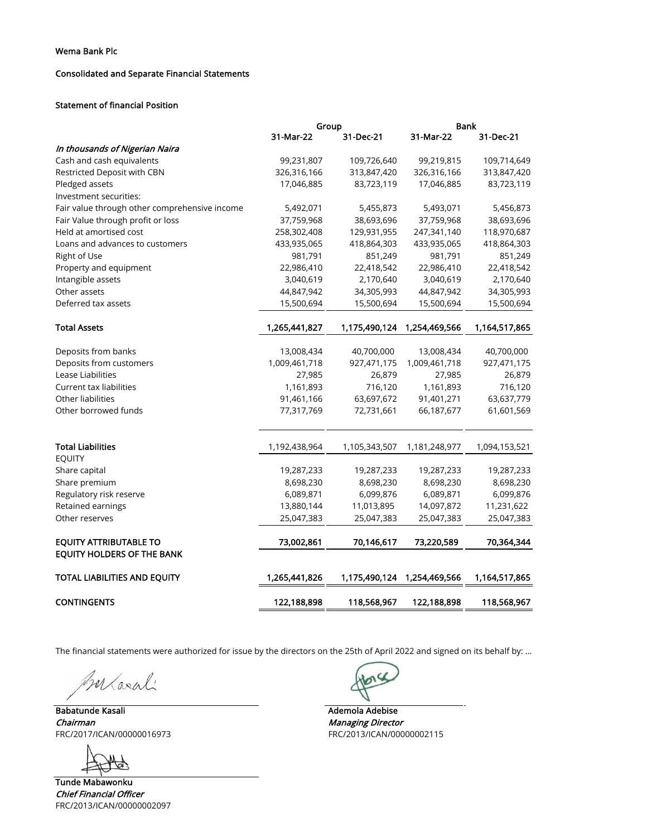## Consolidated and Separate Financial Statements

## Statement of financial Position

|                                               | Group         |               | <b>Bank</b>   |               |
|-----------------------------------------------|---------------|---------------|---------------|---------------|
|                                               | 31-Mar-22     | 31-Dec-21     | 31-Mar-22     | 31-Dec-21     |
| In thousands of Nigerian Naira                |               |               |               |               |
| Cash and cash equivalents                     | 99,231,807    | 109,726,640   | 99,219,815    | 109,714,649   |
| Restricted Deposit with CBN                   | 326,316,166   | 313,847,420   | 326,316,166   | 313,847,420   |
| Pledged assets                                | 17,046,885    | 83,723,119    | 17,046,885    | 83,723,119    |
| Investment securities:                        |               |               |               |               |
| Fair value through other comprehensive income | 5,492,071     | 5,455,873     | 5,493,071     | 5,456,873     |
| Fair Value through profit or loss             | 37,759,968    | 38,693,696    | 37,759,968    | 38,693,696    |
| Held at amortised cost                        | 258,302,408   | 129,931,955   | 247,341,140   | 118,970,687   |
| Loans and advances to customers               | 433,935,065   | 418,864,303   | 433,935,065   | 418,864,303   |
| Right of Use                                  | 981,791       | 851,249       | 981,791       | 851,249       |
| Property and equipment                        | 22,986,410    | 22,418,542    | 22,986,410    | 22,418,542    |
| Intangible assets                             | 3,040,619     | 2,170,640     | 3,040,619     | 2,170,640     |
| Other assets                                  | 44,847,942    | 34,305,993    | 44,847,942    | 34,305,993    |
| Deferred tax assets                           | 15,500,694    | 15,500,694    | 15,500,694    | 15,500,694    |
| <b>Total Assets</b>                           | 1,265,441,827 | 1,175,490,124 | 1,254,469,566 | 1,164,517,865 |
| Deposits from banks                           | 13,008,434    | 40,700,000    | 13,008,434    | 40,700,000    |
| Deposits from customers                       | 1,009,461,718 | 927,471,175   | 1,009,461,718 | 927,471,175   |
| Lease Liabilities                             | 27,985        | 26,879        | 27,985        | 26,879        |
| Current tax liabilities                       | 1,161,893     | 716,120       | 1,161,893     | 716,120       |
| Other liabilities                             | 91,461,166    | 63,697,672    | 91,401,271    | 63,637,779    |
| Other borrowed funds                          | 77,317,769    | 72,731,661    | 66,187,677    | 61,601,569    |
|                                               |               |               |               |               |
| <b>Total Liabilities</b>                      | 1,192,438,964 | 1,105,343,507 | 1,181,248,977 | 1,094,153,521 |
| <b>EQUITY</b>                                 |               |               |               |               |
| Share capital                                 | 19,287,233    | 19,287,233    | 19,287,233    | 19,287,233    |
| Share premium                                 | 8,698,230     | 8,698,230     | 8,698,230     | 8,698,230     |
| Regulatory risk reserve                       | 6,089,871     | 6,099,876     | 6,089,871     | 6,099,876     |
| Retained earnings                             | 13,880,144    | 11,013,895    | 14,097,872    | 11,231,622    |
| Other reserves                                | 25,047,383    | 25,047,383    | 25,047,383    | 25,047,383    |
| <b>EQUITY ATTRIBUTABLE TO</b>                 | 73,002,861    | 70,146,617    | 73,220,589    | 70,364,344    |
| <b>EQUITY HOLDERS OF THE BANK</b>             |               |               |               |               |
| TOTAL LIABILITIES AND EQUITY                  | 1,265,441,826 | 1,175,490,124 | 1,254,469,566 | 1,164,517,865 |
| <b>CONTINGENTS</b>                            |               |               | 122,188,898   |               |
|                                               | 122,188,898   | 118,568,967   |               | 118,568,967   |

The financial statements were authorized for issue by the directors on the 25th of April 2022 and signed on its behalf by: ...

Marali

Babatunde Kasali Ademola Adebise Chairman **Managing Director** Chairman Managing Director FRC/2017/ICAN/00000016973 FRC/2013/ICAN/00000002115

Tunde Mabawonku Chief Financial Officer FRC/2013/ICAN/00000002097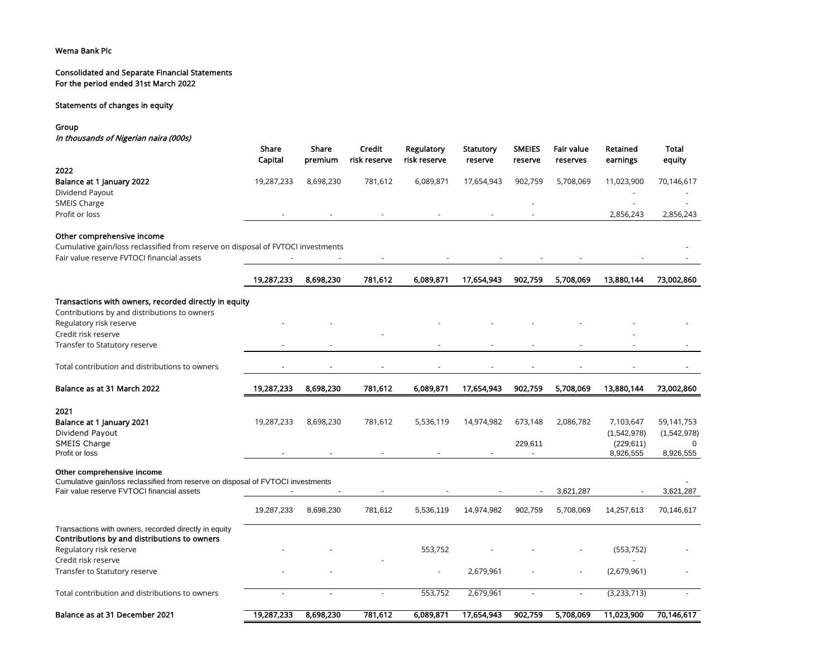#### Consolidated and Separate Financial Statements For the period ended 31st March 2022

## Statements of changes in equity

Group

In thousands of Nigerian naira (000s)

|                                                                                  | Share<br>Capital | Share<br>premium | Credit<br>risk reserve | Regulatory<br>risk reserve | Statutory<br>reserve | <b>SMEIES</b><br>reserve | <b>Fair value</b><br>reserves | Retained<br>earnings     | Total<br>equity           |
|----------------------------------------------------------------------------------|------------------|------------------|------------------------|----------------------------|----------------------|--------------------------|-------------------------------|--------------------------|---------------------------|
| 2022                                                                             |                  |                  |                        |                            |                      |                          |                               |                          |                           |
| Balance at 1 January 2022                                                        | 19,287,233       | 8,698,230        | 781,612                | 6,089,871                  | 17,654,943           | 902,759                  | 5,708,069                     | 11,023,900               | 70,146,617                |
| Dividend Payout                                                                  |                  |                  |                        |                            |                      |                          |                               |                          |                           |
| SMEIS Charge                                                                     |                  |                  |                        |                            |                      |                          |                               |                          |                           |
| Profit or loss                                                                   |                  |                  |                        |                            |                      |                          |                               | 2,856,243                | 2,856,243                 |
| Other comprehensive income                                                       |                  |                  |                        |                            |                      |                          |                               |                          |                           |
| Cumulative gain/loss reclassified from reserve on disposal of FVTOCI investments |                  |                  |                        |                            |                      |                          |                               |                          |                           |
| Fair value reserve FVTOCI financial assets                                       |                  |                  |                        |                            |                      |                          |                               |                          |                           |
|                                                                                  | 19,287,233       | 8,698,230        | 781,612                | 6,089,871                  | 17,654,943           | 902,759                  | 5,708,069                     | 13,880,144               | 73,002,860                |
| Transactions with owners, recorded directly in equity                            |                  |                  |                        |                            |                      |                          |                               |                          |                           |
| Contributions by and distributions to owners                                     |                  |                  |                        |                            |                      |                          |                               |                          |                           |
| Regulatory risk reserve                                                          |                  |                  |                        |                            |                      |                          |                               |                          |                           |
| Credit risk reserve                                                              |                  |                  |                        |                            |                      |                          |                               |                          |                           |
| Transfer to Statutory reserve                                                    |                  |                  |                        |                            |                      |                          |                               |                          |                           |
| Total contribution and distributions to owners                                   |                  |                  |                        |                            |                      |                          |                               |                          |                           |
|                                                                                  |                  |                  |                        |                            |                      |                          |                               |                          |                           |
| Balance as at 31 March 2022                                                      | 19,287,233       | 8,698,230        | 781,612                | 6,089,871                  | 17,654,943           | 902,759                  | 5,708,069                     | 13,880,144               | 73,002,860                |
|                                                                                  |                  |                  |                        |                            |                      |                          |                               |                          |                           |
| 2021                                                                             |                  |                  |                        |                            |                      |                          |                               |                          |                           |
| Balance at 1 January 2021<br>Dividend Payout                                     | 19,287,233       | 8,698,230        | 781,612                | 5,536,119                  | 14,974,982           | 673,148                  | 2,086,782                     | 7,103,647<br>(1,542,978) | 59,141,753<br>(1,542,978) |
| <b>SMEIS Charge</b>                                                              |                  |                  |                        |                            |                      | 229,611                  |                               | (229, 611)               |                           |
| Profit or loss                                                                   |                  |                  |                        |                            |                      |                          |                               | 8,926,555                | 8,926,555                 |
| Other comprehensive income                                                       |                  |                  |                        |                            |                      |                          |                               |                          |                           |
| Cumulative gain/loss reclassified from reserve on disposal of FVTOCI investments |                  |                  |                        |                            |                      |                          |                               |                          |                           |
| Fair value reserve FVTOCI financial assets                                       |                  |                  |                        |                            |                      |                          | 3,621,287                     |                          | 3,621,287                 |
|                                                                                  | 19,287,233       | 8,698,230        | 781,612                | 5,536,119                  | 14,974,982           | 902,759                  | 5,708,069                     | 14,257,613               | 70,146,617                |
| Transactions with owners, recorded directly in equity                            |                  |                  |                        |                            |                      |                          |                               |                          |                           |
| Contributions by and distributions to owners<br>Regulatory risk reserve          |                  |                  |                        | 553,752                    |                      |                          |                               | (553, 752)               |                           |
| Credit risk reserve                                                              |                  |                  |                        |                            |                      |                          |                               |                          |                           |
| Transfer to Statutory reserve                                                    |                  |                  |                        | $\blacksquare$             | 2,679,961            |                          | ÷,                            | (2,679,961)              |                           |
| Total contribution and distributions to owners                                   |                  |                  |                        | 553,752                    | 2,679,961            |                          | $\sim$                        | (3, 233, 713)            |                           |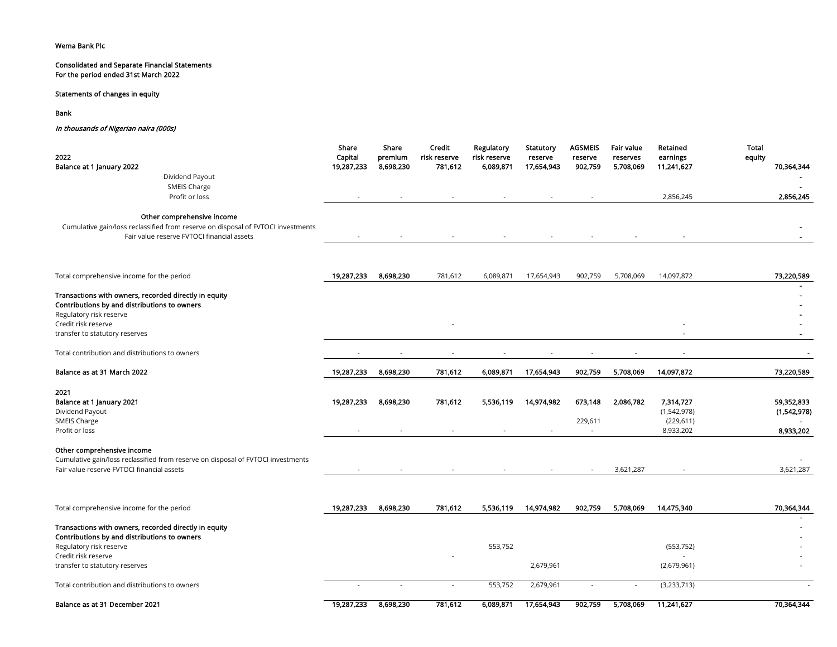## Consolidated and Separate Financial Statements For the period ended 31st March 2022

## Statements of changes in equity

Bank

#### In thousands of Nigerian naira (000s)

| 2022                                                                                                  | Share<br>Capital | Share<br>premium | Credit<br>risk reserve | Regulatory<br>risk reserve | Statutory<br>reserve     | <b>AGSMEIS</b><br>reserve | <b>Fair value</b><br>reserves | Retained<br>earnings | <b>Total</b><br>equity |
|-------------------------------------------------------------------------------------------------------|------------------|------------------|------------------------|----------------------------|--------------------------|---------------------------|-------------------------------|----------------------|------------------------|
| Balance at 1 January 2022                                                                             | 19,287,233       | 8,698,230        | 781,612                | 6,089,871                  | 17,654,943               | 902,759                   | 5,708,069                     | 11,241,627           | 70,364,344             |
| Dividend Payout                                                                                       |                  |                  |                        |                            |                          |                           |                               |                      |                        |
| SMEIS Charge                                                                                          |                  |                  |                        |                            |                          |                           |                               |                      |                        |
| Profit or loss                                                                                        |                  |                  |                        |                            |                          |                           |                               | 2,856,245            | 2,856,245              |
| Other comprehensive income                                                                            |                  |                  |                        |                            |                          |                           |                               |                      |                        |
| Cumulative gain/loss reclassified from reserve on disposal of FVTOCI investments                      |                  |                  |                        |                            |                          |                           |                               |                      |                        |
| Fair value reserve FVTOCI financial assets                                                            |                  |                  |                        |                            |                          |                           |                               |                      |                        |
|                                                                                                       |                  |                  |                        |                            |                          |                           |                               |                      |                        |
| Total comprehensive income for the period                                                             | 19,287,233       | 8,698,230        | 781,612                | 6,089,871                  | 17,654,943               | 902,759                   | 5,708,069                     | 14,097,872           | 73,220,589             |
|                                                                                                       |                  |                  |                        |                            |                          |                           |                               |                      |                        |
| Transactions with owners, recorded directly in equity                                                 |                  |                  |                        |                            |                          |                           |                               |                      |                        |
| Contributions by and distributions to owners                                                          |                  |                  |                        |                            |                          |                           |                               |                      |                        |
| Regulatory risk reserve                                                                               |                  |                  |                        |                            |                          |                           |                               |                      |                        |
| Credit risk reserve                                                                                   |                  |                  |                        |                            |                          |                           |                               |                      |                        |
| transfer to statutory reserves                                                                        |                  |                  |                        |                            |                          |                           |                               |                      |                        |
| Total contribution and distributions to owners                                                        |                  |                  |                        |                            |                          |                           |                               |                      |                        |
| Balance as at 31 March 2022                                                                           | 19,287,233       | 8,698,230        | 781,612                | 6,089,871                  | 17,654,943               | 902,759                   | 5,708,069                     | 14,097,872           | 73,220,589             |
| 2021                                                                                                  |                  |                  |                        |                            |                          |                           |                               |                      |                        |
| Balance at 1 January 2021                                                                             | 19,287,233       | 8,698,230        | 781,612                | 5,536,119                  | 14,974,982               | 673,148                   | 2,086,782                     | 7,314,727            | 59,352,833             |
| Dividend Payout                                                                                       |                  |                  |                        |                            |                          |                           |                               | (1,542,978)          | (1,542,978)            |
| <b>SMEIS Charge</b>                                                                                   |                  |                  |                        |                            |                          | 229,611                   |                               | (229, 611)           |                        |
| Profit or loss                                                                                        |                  |                  |                        | $\overline{\phantom{a}}$   |                          |                           |                               | 8,933,202            | 8,933,202              |
| Other comprehensive income                                                                            |                  |                  |                        |                            |                          |                           |                               |                      |                        |
| Cumulative gain/loss reclassified from reserve on disposal of FVTOCI investments                      |                  |                  |                        |                            |                          |                           |                               |                      |                        |
| Fair value reserve FVTOCI financial assets                                                            |                  |                  |                        | $\overline{\phantom{a}}$   | $\overline{\phantom{a}}$ | $\sim$                    | 3,621,287                     | $\sim$               | 3,621,287              |
|                                                                                                       |                  |                  |                        |                            |                          |                           |                               |                      |                        |
| Total comprehensive income for the period                                                             | 19,287,233       | 8,698,230        | 781,612                | 5,536,119                  | 14,974,982               | 902,759                   | 5,708,069                     | 14,475,340           | 70,364,344             |
|                                                                                                       |                  |                  |                        |                            |                          |                           |                               |                      |                        |
| Transactions with owners, recorded directly in equity<br>Contributions by and distributions to owners |                  |                  |                        |                            |                          |                           |                               |                      |                        |
| Regulatory risk reserve                                                                               |                  |                  |                        | 553,752                    |                          |                           |                               | (553, 752)           |                        |
| Credit risk reserve                                                                                   |                  |                  |                        |                            |                          |                           |                               |                      |                        |
| transfer to statutory reserves                                                                        |                  |                  |                        |                            | 2,679,961                |                           |                               | (2,679,961)          |                        |
| Total contribution and distributions to owners                                                        |                  |                  |                        | 553,752                    | 2,679,961                |                           |                               | (3,233,713)          |                        |
| Balance as at 31 December 2021                                                                        | 19,287,233       | 8,698,230        | 781,612                | 6,089,871                  | 17,654,943               | 902,759                   | 5,708,069                     | 11,241,627           | 70,364,344             |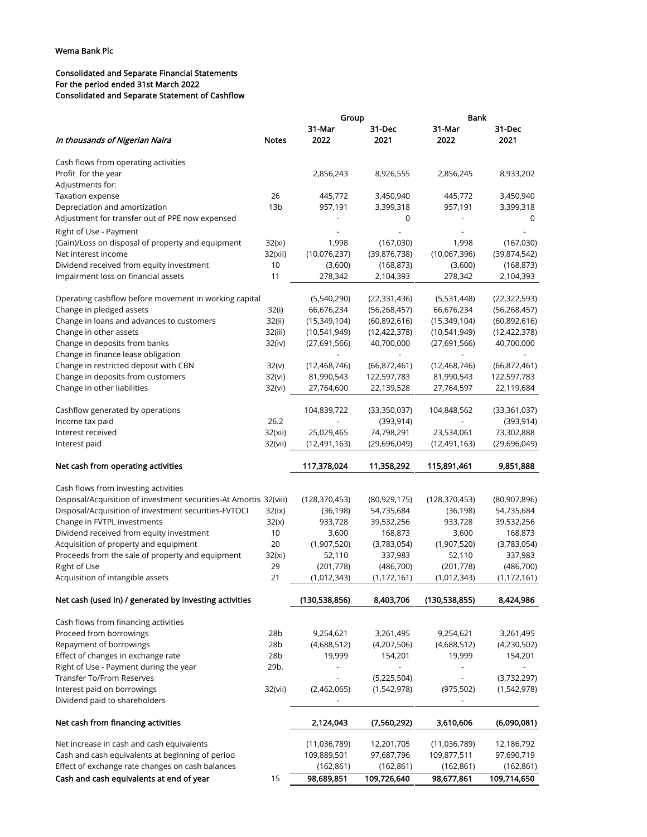## Consolidated and Separate Financial Statements For the period ended 31st March 2022 Consolidated and Separate Statement of Cashflow

|                                                                                              |                 | Group                    |                           | Bank                     |                           |
|----------------------------------------------------------------------------------------------|-----------------|--------------------------|---------------------------|--------------------------|---------------------------|
| In thousands of Nigerian Naira                                                               | <b>Notes</b>    | 31-Mar<br>2022           | 31-Dec<br>2021            | 31-Mar<br>2022           | 31-Dec<br>2021            |
| Cash flows from operating activities                                                         |                 |                          |                           |                          |                           |
| Profit for the year                                                                          |                 | 2,856,243                | 8,926,555                 | 2,856,245                | 8,933,202                 |
| Adjustments for:                                                                             |                 |                          |                           |                          |                           |
| Taxation expense                                                                             | 26              | 445,772                  | 3,450,940                 | 445,772                  | 3,450,940                 |
| Depreciation and amortization                                                                | 13 <sub>b</sub> | 957,191                  | 3,399,318                 | 957,191                  | 3,399,318                 |
| Adjustment for transfer out of PPE now expensed                                              |                 |                          | 0                         |                          | 0                         |
|                                                                                              |                 |                          |                           |                          |                           |
| Right of Use - Payment                                                                       |                 |                          |                           |                          |                           |
| (Gain)/Loss on disposal of property and equipment                                            | 32(xi)          | 1,998                    | (167,030)                 | 1,998                    | (167,030)                 |
| Net interest income                                                                          | 32(xii)         | (10,076,237)             | (39, 876, 738)            | (10,067,396)             | (39,874,542)              |
| Dividend received from equity investment                                                     | 10              | (3,600)                  | (168, 873)                | (3,600)                  | (168, 873)                |
| Impairment loss on financial assets                                                          | 11              | 278,342                  | 2,104,393                 | 278,342                  | 2,104,393                 |
| Operating cashflow before movement in working capital                                        |                 | (5,540,290)              | (22, 331, 436)            | (5,531,448)              | (22, 322, 593)            |
| Change in pledged assets                                                                     | 32(i)           | 66,676,234               | (56, 268, 457)            | 66,676,234               | (56, 268, 457)            |
| Change in loans and advances to customers                                                    | 32(ii)          | (15,349,104)             | (60,892,616)              | (15,349,104)             | (60,892,616)              |
| Change in other assets                                                                       | 32(iii)         | (10,541,949)             | (12, 422, 378)            | (10,541,949)             | (12, 422, 378)            |
| Change in deposits from banks                                                                | 32(iv)          | (27,691,566)             | 40,700,000                | (27,691,566)             | 40,700,000                |
| Change in finance lease obligation                                                           |                 |                          |                           |                          |                           |
| Change in restricted deposit with CBN                                                        | 32(v)           | (12, 468, 746)           | (66,872,461)              | (12, 468, 746)           | (66,872,461)              |
| Change in deposits from customers                                                            | 32(vi)          | 81,990,543               | 122,597,783               | 81,990,543               | 122,597,783               |
| Change in other liabilities                                                                  | 32(vi)          | 27,764,600               | 22,139,528                | 27,764,597               | 22,119,684                |
|                                                                                              |                 |                          |                           |                          |                           |
| Cashflow generated by operations                                                             |                 | 104,839,722              | (33,350,037)              | 104,848,562              | (33, 361, 037)            |
| Income tax paid                                                                              | 26.2            |                          | (393, 914)                |                          | (393, 914)                |
| Interest received                                                                            | 32(xii)         | 25,029,465               | 74,798,291                | 23,534,061               | 73,302,888                |
| Interest paid                                                                                | 32(vii)         | (12,491,163)             | (29,696,049)              | (12,491,163)             | (29,696,049)              |
| Net cash from operating activities                                                           |                 | 117,378,024              | 11,358,292                | 115,891,461              | 9,851,888                 |
| Cash flows from investing activities                                                         |                 |                          |                           |                          |                           |
| Disposal/Acquisition of investment securities-At Amortis 32(viii)                            |                 | (128, 370, 453)          | (80, 929, 175)            | (128, 370, 453)          | (80,907,896)              |
| Disposal/Acquisition of investment securities-FVTOCI                                         | 32(ix)          | (36, 198)                | 54,735,684                | (36, 198)                | 54,735,684                |
| Change in FVTPL investments                                                                  | 32(x)           | 933,728                  | 39,532,256                | 933,728                  | 39,532,256                |
| Dividend received from equity investment                                                     | 10              | 3,600                    | 168,873                   | 3,600                    | 168,873                   |
| Acquisition of property and equipment                                                        | 20              | (1,907,520)              | (3,783,054)               | (1,907,520)              | (3,783,054)               |
| Proceeds from the sale of property and equipment                                             | 32(xi)          | 52,110                   | 337,983                   | 52,110                   | 337,983                   |
| Right of Use                                                                                 | 29              | (201, 778)               | (486,700)                 | (201, 778)               | (486,700)                 |
| Acquisition of intangible assets                                                             | 21              | (1,012,343)              | (1, 172, 161)             | (1,012,343)              | (1, 172, 161)             |
| Net cash (used in) / generated by investing activities                                       |                 | (130,538,856)            | 8,403,706                 | (130, 538, 855)          | 8,424,986                 |
| Cash flows from financing activities                                                         |                 |                          |                           |                          |                           |
| Proceed from borrowings                                                                      | 28b             | 9,254,621                | 3,261,495                 | 9,254,621                | 3,261,495                 |
| Repayment of borrowings                                                                      |                 |                          |                           |                          |                           |
| Effect of changes in exchange rate                                                           |                 |                          |                           |                          |                           |
|                                                                                              | 28b             | (4,688,512)              | (4,207,506)               | (4,688,512)              | (4,230,502)               |
|                                                                                              | 28 <sub>b</sub> | 19,999                   | 154,201                   | 19,999                   | 154,201                   |
| Right of Use - Payment during the year                                                       | 29b.            |                          |                           |                          |                           |
| <b>Transfer To/From Reserves</b>                                                             |                 |                          | (5,225,504)               | $\overline{\phantom{a}}$ | (3,732,297)               |
| Interest paid on borrowings<br>Dividend paid to shareholders                                 | 32(vii)         | (2,462,065)              | (1,542,978)               | (975, 502)               | (1,542,978)               |
| Net cash from financing activities                                                           |                 | 2,124,043                | (7,560,292)               | 3,610,606                | (6,090,081)               |
|                                                                                              |                 |                          |                           |                          |                           |
| Net increase in cash and cash equivalents                                                    |                 | (11,036,789)             | 12,201,705                | (11,036,789)             | 12,186,792                |
| Cash and cash equivalents at beginning of period                                             |                 | 109,889,501              | 97,687,796                | 109,877,511              | 97,690,719                |
| Effect of exchange rate changes on cash balances<br>Cash and cash equivalents at end of year | 15              | (162, 861)<br>98,689,851 | (162, 861)<br>109,726,640 | (162, 861)<br>98,677,861 | (162, 861)<br>109,714,650 |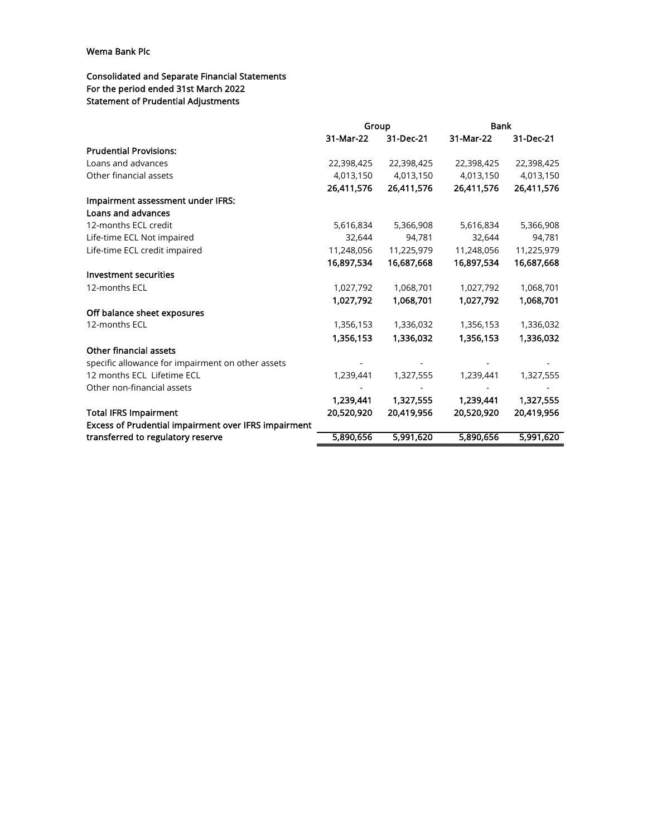## Consolidated and Separate Financial Statements For the period ended 31st March 2022 Statement of Prudential Adjustments

|                                                      | Group      |            | <b>Bank</b> |            |
|------------------------------------------------------|------------|------------|-------------|------------|
|                                                      | 31-Mar-22  | 31-Dec-21  | 31-Mar-22   | 31-Dec-21  |
| <b>Prudential Provisions:</b>                        |            |            |             |            |
| Loans and advances                                   | 22,398,425 | 22,398,425 | 22,398,425  | 22,398,425 |
| Other financial assets                               | 4,013,150  | 4,013,150  | 4,013,150   | 4,013,150  |
|                                                      | 26,411,576 | 26,411,576 | 26,411,576  | 26,411,576 |
| Impairment assessment under IFRS:                    |            |            |             |            |
| Loans and advances                                   |            |            |             |            |
| 12-months ECL credit                                 | 5,616,834  | 5,366,908  | 5,616,834   | 5,366,908  |
| Life-time ECL Not impaired                           | 32,644     | 94.781     | 32,644      | 94,781     |
| Life-time ECL credit impaired                        | 11,248,056 | 11,225,979 | 11,248,056  | 11,225,979 |
|                                                      | 16,897,534 | 16,687,668 | 16,897,534  | 16,687,668 |
| Investment securities                                |            |            |             |            |
| 12-months ECL                                        | 1,027,792  | 1,068,701  | 1,027,792   | 1,068,701  |
|                                                      | 1,027,792  | 1,068,701  | 1,027,792   | 1,068,701  |
| Off balance sheet exposures                          |            |            |             |            |
| 12-months ECL                                        | 1,356,153  | 1,336,032  | 1,356,153   | 1,336,032  |
|                                                      | 1,356,153  | 1,336,032  | 1,356,153   | 1,336,032  |
| Other financial assets                               |            |            |             |            |
| specific allowance for impairment on other assets    |            |            |             |            |
| 12 months ECL Lifetime ECL                           | 1,239,441  | 1,327,555  | 1,239,441   | 1,327,555  |
| Other non-financial assets                           |            |            |             |            |
|                                                      | 1,239,441  | 1,327,555  | 1,239,441   | 1,327,555  |
| <b>Total IFRS Impairment</b>                         | 20,520,920 | 20,419,956 | 20,520,920  | 20,419,956 |
| Excess of Prudential impairment over IFRS impairment |            |            |             |            |
| transferred to regulatory reserve                    | 5,890,656  | 5,991,620  | 5,890,656   | 5,991,620  |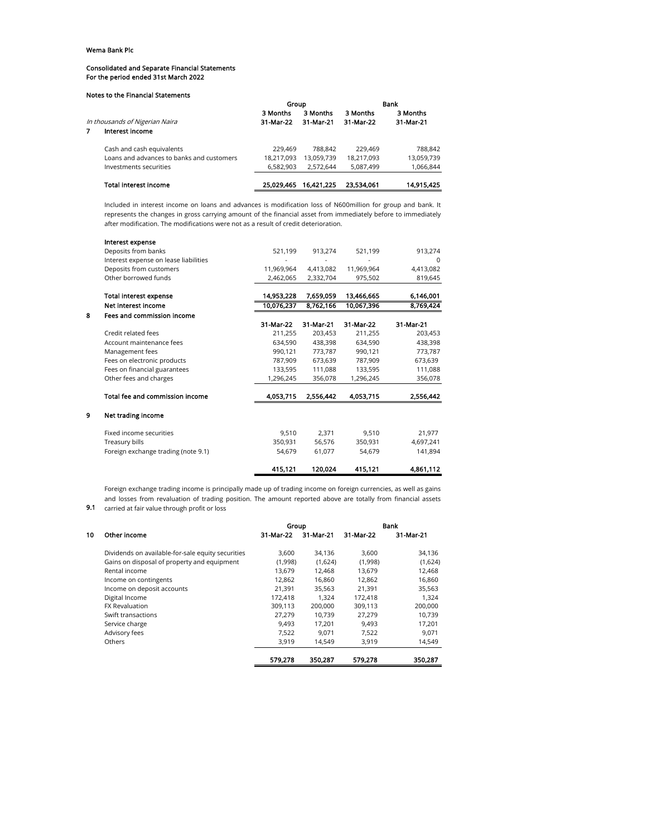#### Consolidated and Separate Financial Statements For the period ended 31st March 2022

#### Notes to the Financial Statements

|                                |                                           | Group      |            | Bank       |            |  |
|--------------------------------|-------------------------------------------|------------|------------|------------|------------|--|
|                                |                                           | 3 Months   | 3 Months   | 3 Months   | 3 Months   |  |
| In thousands of Nigerian Naira |                                           | 31-Mar-22  | 31-Mar-21  | 31-Mar-22  | 31-Mar-21  |  |
|                                | Interest income                           |            |            |            |            |  |
|                                | Cash and cash equivalents                 | 229,469    | 788.842    | 229,469    | 788,842    |  |
|                                | Loans and advances to banks and customers | 18,217,093 | 13.059.739 | 18,217,093 | 13,059,739 |  |
|                                | Investments securities                    | 6,582,903  | 2.572.644  | 5,087,499  | 1,066,844  |  |
|                                | <b>Total interest income</b>              | 25.029.465 | 16.421.225 | 23.534.061 | 14.915.425 |  |

Included in interest income on loans and advances is modification loss of N600million for group and bank. It represents the changes in gross carrying amount of the financial asset from immediately before to immediately after modification. The modifications were not as a result of credit deterioration.

|   | Interest expense                      |            |           |            |           |
|---|---------------------------------------|------------|-----------|------------|-----------|
|   | Deposits from banks                   | 521,199    | 913,274   | 521,199    | 913,274   |
|   | Interest expense on lease liabilities |            |           |            | $\Omega$  |
|   | Deposits from customers               | 11.969.964 | 4,413,082 | 11,969,964 | 4,413,082 |
|   | Other borrowed funds                  | 2,462,065  | 2,332,704 | 975,502    | 819,645   |
|   | <b>Total interest expense</b>         | 14,953,228 | 7,659,059 | 13.466.665 | 6,146,001 |
|   | Net interest income                   | 10,076,237 | 8,762,166 | 10,067,396 | 8,769,424 |
| 8 | Fees and commission income            |            |           |            |           |
|   |                                       | 31-Mar-22  | 31-Mar-21 | 31-Mar-22  | 31-Mar-21 |
|   | Credit related fees                   | 211,255    | 203,453   | 211,255    | 203,453   |
|   | Account maintenance fees              | 634,590    | 438,398   | 634,590    | 438,398   |
|   | Management fees                       | 990.121    | 773,787   | 990,121    | 773,787   |
|   | Fees on electronic products           | 787,909    | 673,639   | 787,909    | 673,639   |
|   | Fees on financial guarantees          | 133,595    | 111,088   | 133,595    | 111,088   |
|   | Other fees and charges                | 1,296,245  | 356,078   | 1,296,245  | 356,078   |
|   | Total fee and commission income       | 4,053,715  | 2,556,442 | 4,053,715  | 2,556,442 |
| 9 | Net trading income                    |            |           |            |           |
|   | Fixed income securities               | 9.510      | 2.371     | 9.510      | 21,977    |
|   | Treasury bills                        | 350,931    | 56,576    | 350,931    | 4,697,241 |
|   | Foreign exchange trading (note 9.1)   | 54,679     | 61,077    | 54,679     | 141,894   |
|   |                                       | 415,121    | 120,024   | 415,121    | 4,861,112 |

Foreign exchange trading income is principally made up of trading income on foreign currencies, as well as gains and losses from revaluation of trading position. The amount reported above are totally from financial assets

9.1 carried at fair value through profit or loss

|    |                                                   | Group     |           | Bank      |           |  |
|----|---------------------------------------------------|-----------|-----------|-----------|-----------|--|
| 10 | Other income                                      | 31-Mar-22 | 31-Mar-21 | 31-Mar-22 | 31-Mar-21 |  |
|    | Dividends on available-for-sale equity securities | 3,600     | 34.136    | 3,600     | 34,136    |  |
|    | Gains on disposal of property and equipment       | (1,998)   | (1,624)   | (1,998)   | (1,624)   |  |
|    | Rental income                                     | 13.679    | 12.468    | 13.679    | 12.468    |  |
|    | Income on contingents                             | 12.862    | 16.860    | 12.862    | 16,860    |  |
|    | Income on deposit accounts                        | 21.391    | 35.563    | 21.391    | 35,563    |  |
|    | Digital Income                                    | 172.418   | 1.324     | 172.418   | 1.324     |  |
|    | <b>FX Revaluation</b>                             | 309,113   | 200,000   | 309,113   | 200,000   |  |
|    | Swift transactions                                | 27.279    | 10.739    | 27.279    | 10,739    |  |
|    | Service charge                                    | 9.493     | 17.201    | 9.493     | 17.201    |  |
|    | Advisory fees                                     | 7,522     | 9.071     | 7,522     | 9,071     |  |
|    | Others                                            | 3.919     | 14.549    | 3,919     | 14,549    |  |
|    |                                                   | 579.278   | 350,287   | 579,278   | 350,287   |  |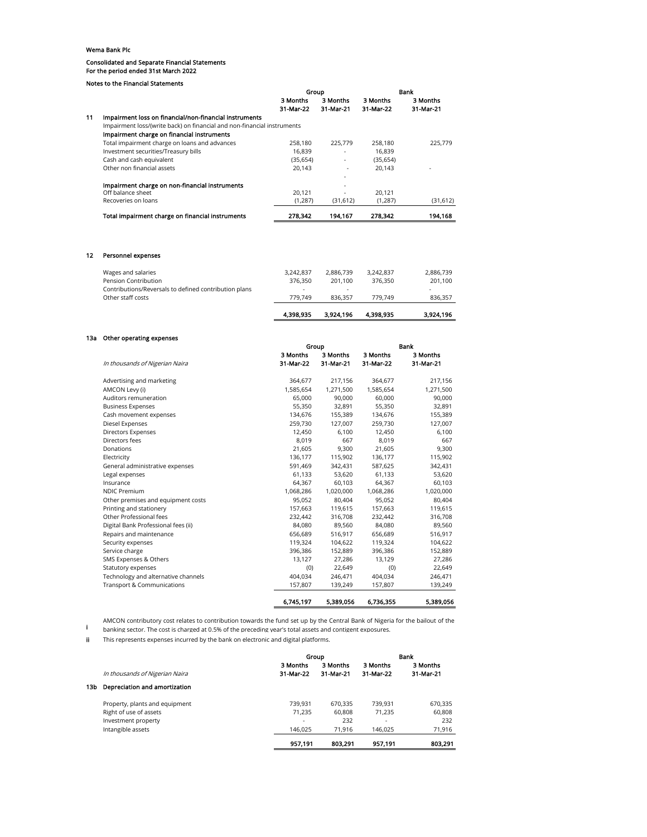#### Consolidated and Separate Financial Statements For the period ended 31st March 2022

Notes to the Financial Statements

|    |                                                                         | Group     |           |           | Bank      |
|----|-------------------------------------------------------------------------|-----------|-----------|-----------|-----------|
|    |                                                                         | 3 Months  | 3 Months  | 3 Months  | 3 Months  |
|    |                                                                         | 31-Mar-22 | 31-Mar-21 | 31-Mar-22 | 31-Mar-21 |
| 11 | Impairment loss on financial/non-financial instruments                  |           |           |           |           |
|    | Impairment loss/(write back) on financial and non-financial instruments |           |           |           |           |
|    | Impairment charge on financial instruments                              |           |           |           |           |
|    | Total impairment charge on loans and advances                           | 258,180   | 225.779   | 258,180   | 225,779   |
|    | Investment securities/Treasury bills                                    | 16.839    | ٠         | 16.839    |           |
|    | Cash and cash equivalent                                                | (35, 654) | ٠         | (35, 654) |           |
|    | Other non financial assets                                              | 20.143    | ۰         | 20.143    | ۰         |
|    |                                                                         |           | ۰         |           |           |
|    | Impairment charge on non-financial instruments                          |           | ۰         |           |           |
|    | Off balance sheet                                                       | 20.121    | ٠         | 20.121    |           |
|    | Recoveries on loans                                                     | (1, 287)  | (31, 612) | (1,287)   | (31,612)  |
|    | Total impairment charge on financial instruments                        | 278.342   | 194.167   | 278.342   | 194.168   |

## 12 Personnel expenses

|                                                       | 4.398.935 | 3.924.196 | 4.398.935 | 3.924.196 |
|-------------------------------------------------------|-----------|-----------|-----------|-----------|
| Other staff costs                                     | 779.749   | 836.357   | 779.749   | 836,357   |
| Contributions/Reversals to defined contribution plans | ۰         | $\sim$    |           | ۰         |
| Pension Contribution                                  | 376.350   | 201.100   | 376.350   | 201,100   |
| Wages and salaries                                    | 3.242.837 | 2,886,739 | 3.242.837 | 2,886,739 |
|                                                       |           |           |           |           |

## 13a Other operating expenses

| Annel Aherening exherises             |           | Group     |           | Bank      |  |  |
|---------------------------------------|-----------|-----------|-----------|-----------|--|--|
|                                       | 3 Months  | 3 Months  | 3 Months  | 3 Months  |  |  |
| In thousands of Nigerian Naira        | 31-Mar-22 | 31-Mar-21 | 31-Mar-22 | 31-Mar-21 |  |  |
| Advertising and marketing             | 364,677   | 217,156   | 364,677   | 217,156   |  |  |
| AMCON Levy (i)                        | 1,585,654 | 1,271,500 | 1,585,654 | 1,271,500 |  |  |
| Auditors remuneration                 | 65,000    | 90,000    | 60,000    | 90,000    |  |  |
| <b>Business Expenses</b>              | 55,350    | 32,891    | 55,350    | 32,891    |  |  |
| Cash movement expenses                | 134,676   | 155,389   | 134,676   | 155,389   |  |  |
| Diesel Expenses                       | 259,730   | 127,007   | 259,730   | 127,007   |  |  |
| <b>Directors Expenses</b>             | 12,450    | 6,100     | 12,450    | 6,100     |  |  |
| Directors fees                        | 8,019     | 667       | 8,019     | 667       |  |  |
| Donations                             | 21,605    | 9,300     | 21,605    | 9,300     |  |  |
| Electricity                           | 136,177   | 115,902   | 136,177   | 115,902   |  |  |
| General administrative expenses       | 591,469   | 342,431   | 587,625   | 342,431   |  |  |
| Legal expenses                        | 61,133    | 53,620    | 61,133    | 53,620    |  |  |
| Insurance                             | 64,367    | 60,103    | 64,367    | 60,103    |  |  |
| <b>NDIC Premium</b>                   | 1,068,286 | 1,020,000 | 1,068,286 | 1,020,000 |  |  |
| Other premises and equipment costs    | 95,052    | 80,404    | 95,052    | 80,404    |  |  |
| Printing and stationery               | 157,663   | 119,615   | 157,663   | 119,615   |  |  |
| Other Professional fees               | 232,442   | 316,708   | 232,442   | 316,708   |  |  |
| Digital Bank Professional fees (ii)   | 84,080    | 89,560    | 84,080    | 89,560    |  |  |
| Repairs and maintenance               | 656,689   | 516,917   | 656,689   | 516,917   |  |  |
| Security expenses                     | 119,324   | 104,622   | 119,324   | 104,622   |  |  |
| Service charge                        | 396,386   | 152,889   | 396,386   | 152,889   |  |  |
| SMS Expenses & Others                 | 13,127    | 27,286    | 13,129    | 27,286    |  |  |
| Statutory expenses                    | (0)       | 22,649    | (0)       | 22,649    |  |  |
| Technology and alternative channels   | 404,034   | 246,471   | 404,034   | 246,471   |  |  |
| <b>Transport &amp; Communications</b> | 157,807   | 139,249   | 157,807   | 139,249   |  |  |
|                                       | 6,745,197 | 5,389,056 | 6,736,355 | 5,389,056 |  |  |

AMCON contributory cost relates to contribution towards the fund set up by the Central Bank of Nigeria for the bailout of the

i banking sector. The cost is charged at 0.5% of the preceding year's total assets and contigent exposures.

ii This represents expenses incurred by the bank on electronic and digital platforms.

|     |                                | Group                    |                       | Bank                  |                       |  |
|-----|--------------------------------|--------------------------|-----------------------|-----------------------|-----------------------|--|
|     | In thousands of Nigerian Naira | 3 Months<br>31-Mar-22    | 3 Months<br>31-Mar-21 | 3 Months<br>31-Mar-22 | 3 Months<br>31-Mar-21 |  |
| 13b | Depreciation and amortization  |                          |                       |                       |                       |  |
|     | Property, plants and equipment | 739.931                  | 670.335               | 739.931               | 670.335               |  |
|     | Right of use of assets         | 71.235                   | 60.808                | 71.235                | 60.808                |  |
|     | Investment property            | $\overline{\phantom{a}}$ | 232                   | ۰.                    | 232                   |  |
|     | Intangible assets              | 146.025                  | 71.916                | 146.025               | 71.916                |  |
|     |                                | 957.191                  | 803,291               | 957.191               | 803,291               |  |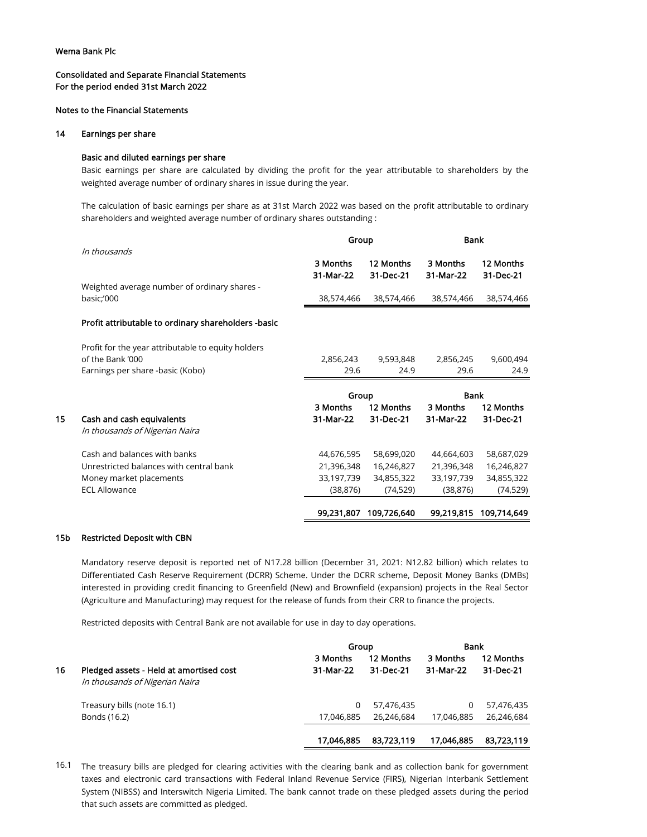## Consolidated and Separate Financial Statements For the period ended 31st March 2022

## Notes to the Financial Statements

## 14 Earnings per share

## Basic and diluted earnings per share

Basic earnings per share are calculated by dividing the profit for the year attributable to shareholders by the weighted average number of ordinary shares in issue during the year.

The calculation of basic earnings per share as at 31st March 2022 was based on the profit attributable to ordinary shareholders and weighted average number of ordinary shares outstanding :

|    |                                                             | Group                 |                        | <b>Bank</b>           |                          |  |
|----|-------------------------------------------------------------|-----------------------|------------------------|-----------------------|--------------------------|--|
|    | In thousands                                                | 3 Months<br>31-Mar-22 | 12 Months<br>31-Dec-21 | 3 Months<br>31-Mar-22 | 12 Months<br>31-Dec-21   |  |
|    | Weighted average number of ordinary shares -<br>basic;'000  | 38,574,466            | 38,574,466             | 38,574,466            | 38,574,466               |  |
|    | Profit attributable to ordinary shareholders -basic         |                       |                        |                       |                          |  |
|    | Profit for the year attributable to equity holders          |                       |                        |                       |                          |  |
|    | of the Bank '000                                            | 2,856,243             | 9,593,848              | 2,856,245             | 9,600,494                |  |
|    | Earnings per share -basic (Kobo)                            | 29.6                  | 24.9                   | 29.6                  | 24.9                     |  |
|    |                                                             | Group                 |                        | <b>Bank</b>           |                          |  |
|    |                                                             | 3 Months              | 12 Months              | 3 Months              | 12 Months                |  |
| 15 | Cash and cash equivalents<br>In thousands of Nigerian Naira | 31-Mar-22             | 31-Dec-21              | 31-Mar-22             | 31-Dec-21                |  |
|    |                                                             | 44,676,595            | 58,699,020             |                       |                          |  |
|    | Cash and balances with banks                                |                       |                        | 44,664,603            |                          |  |
|    | Unrestricted balances with central bank                     | 21,396,348            | 16,246,827             | 21,396,348            | 58,687,029<br>16,246,827 |  |
|    | Money market placements                                     | 33,197,739            | 34,855,322             | 33,197,739            | 34,855,322               |  |
|    | <b>ECL Allowance</b>                                        | (38, 876)             | (74, 529)              | (38, 876)             | (74, 529)                |  |

## 15b Restricted Deposit with CBN

Mandatory reserve deposit is reported net of N17.28 billion (December 31, 2021: N12.82 billion) which relates to Differentiated Cash Reserve Requirement (DCRR) Scheme. Under the DCRR scheme, Deposit Money Banks (DMBs) interested in providing credit financing to Greenfield (New) and Brownfield (expansion) projects in the Real Sector (Agriculture and Manufacturing) may request for the release of funds from their CRR to finance the projects.

Restricted deposits with Central Bank are not available for use in day to day operations.

|    |                                                                           | Group                 | <b>Bank</b>            |                       |                        |
|----|---------------------------------------------------------------------------|-----------------------|------------------------|-----------------------|------------------------|
| 16 | Pledged assets - Held at amortised cost<br>In thousands of Nigerian Naira | 3 Months<br>31-Mar-22 | 12 Months<br>31-Dec-21 | 3 Months<br>31-Mar-22 | 12 Months<br>31-Dec-21 |
|    | Treasury bills (note 16.1)                                                | 0                     | 57.476.435             | 0                     | 57,476,435             |
|    | Bonds (16.2)                                                              | 17.046.885            | 26.246.684             | 17,046,885            | 26.246.684             |
|    |                                                                           | 17.046.885            | 83.723.119             | 17,046,885            | 83.723.119             |

16.1 The treasury bills are pledged for clearing activities with the clearing bank and as collection bank for government taxes and electronic card transactions with Federal Inland Revenue Service (FIRS), Nigerian Interbank Settlement System (NIBSS) and Interswitch Nigeria Limited. The bank cannot trade on these pledged assets during the period that such assets are committed as pledged.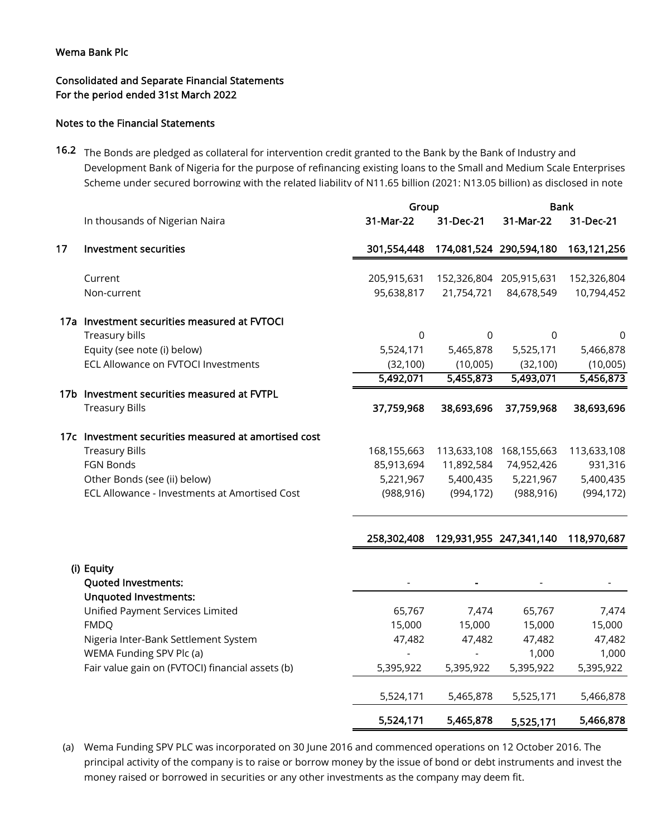# Consolidated and Separate Financial Statements For the period ended 31st March 2022

## Notes to the Financial Statements

16.2 The Bonds are pledged as collateral for intervention credit granted to the Bank by the Bank of Industry and Development Bank of Nigeria for the purpose of refinancing existing loans to the Small and Medium Scale Enterprises Scheme under secured borrowing with the related liability of N11.65 billion (2021: N13.05 billion) as disclosed in note

|    |                                                      | Group       |            | <b>Bank</b>             |             |  |
|----|------------------------------------------------------|-------------|------------|-------------------------|-------------|--|
|    | In thousands of Nigerian Naira                       | 31-Mar-22   | 31-Dec-21  | 31-Mar-22               | 31-Dec-21   |  |
| 17 | Investment securities                                | 301,554,448 |            | 174,081,524 290,594,180 | 163,121,256 |  |
|    | Current                                              | 205,915,631 |            | 152,326,804 205,915,631 | 152,326,804 |  |
|    | Non-current                                          | 95,638,817  | 21,754,721 | 84,678,549              | 10,794,452  |  |
|    | 17a Investment securities measured at FVTOCI         |             |            |                         |             |  |
|    | Treasury bills                                       | 0           | 0          | 0                       | 0           |  |
|    | Equity (see note (i) below)                          | 5,524,171   | 5,465,878  | 5,525,171               | 5,466,878   |  |
|    | ECL Allowance on FVTOCI Investments                  | (32, 100)   | (10,005)   | (32, 100)               | (10,005)    |  |
|    |                                                      | 5,492,071   | 5,455,873  | 5,493,071               | 5,456,873   |  |
|    | 17b Investment securities measured at FVTPL          |             |            |                         |             |  |
|    | <b>Treasury Bills</b>                                | 37,759,968  | 38,693,696 | 37,759,968              | 38,693,696  |  |
|    | 17c Investment securities measured at amortised cost |             |            |                         |             |  |
|    | <b>Treasury Bills</b>                                | 168,155,663 |            | 113,633,108 168,155,663 | 113,633,108 |  |
|    | <b>FGN Bonds</b>                                     | 85,913,694  | 11,892,584 | 74,952,426              | 931,316     |  |
|    | Other Bonds (see (ii) below)                         | 5,221,967   | 5,400,435  | 5,221,967               | 5,400,435   |  |
|    | ECL Allowance - Investments at Amortised Cost        | (988, 916)  | (994, 172) | (988, 916)              | (994, 172)  |  |
|    |                                                      |             |            |                         |             |  |
|    |                                                      | 258,302,408 |            | 129,931,955 247,341,140 | 118,970,687 |  |
|    | (i) Equity                                           |             |            |                         |             |  |
|    | <b>Quoted Investments:</b>                           |             |            |                         |             |  |
|    | <b>Unquoted Investments:</b>                         |             |            |                         |             |  |
|    | Unified Payment Services Limited                     | 65,767      | 7,474      | 65,767                  | 7,474       |  |
|    | <b>FMDQ</b>                                          | 15,000      | 15,000     | 15,000                  | 15,000      |  |
|    | Nissante Indian Devel: Cettle no such Cupt           | 17.102      | 17.102     | 17.102                  | 17.102      |  |

Nigeria Inter-Bank Settlement System 47,482 47,482 47,482 47,482 WEMA Funding SPV Plc (a)  $\sim$  1,000 1,000 1,000 Fair value gain on (FVTOCI) financial assets (b) 6,395,922 5,395,922 5,395,922 5,395,922 5,524,171 5,465,878 5,525,171 5,466,878 5,524,171 5,465,878 5,525,171 5,466,878

(a) Wema Funding SPV PLC was incorporated on 30 June 2016 and commenced operations on 12 October 2016. The principal activity of the company is to raise or borrow money by the issue of bond or debt instruments and invest the money raised or borrowed in securities or any other investments as the company may deem fit.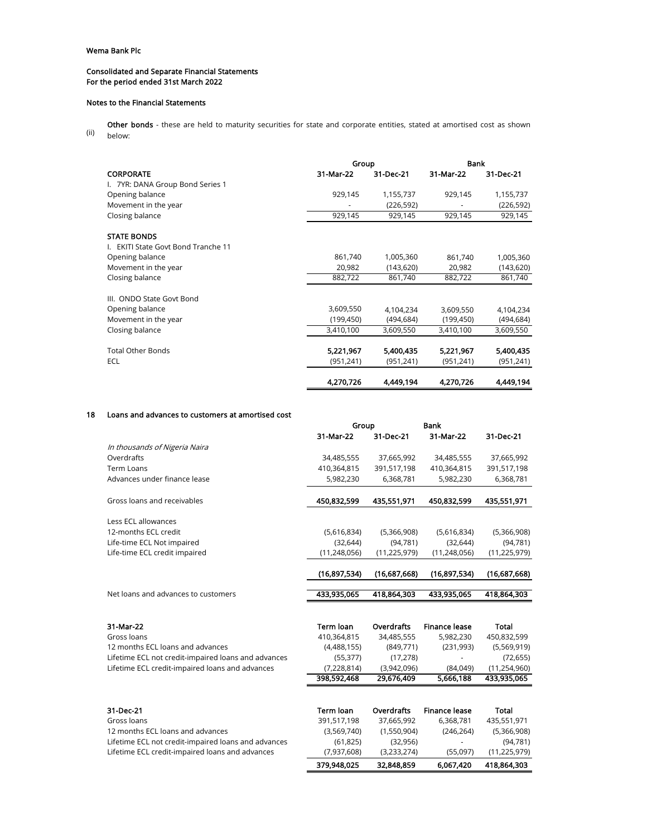## Consolidated and Separate Financial Statements For the period ended 31st March 2022

#### Notes to the Financial Statements

(ii) Other bonds - these are held to maturity securities for state and corporate entities, stated at amortised cost as shown below:

|                                     | Group      |            | Bank       |            |  |
|-------------------------------------|------------|------------|------------|------------|--|
| <b>CORPORATE</b>                    | 31-Mar-22  | 31-Dec-21  | 31-Mar-22  | 31-Dec-21  |  |
| I. 7YR: DANA Group Bond Series 1    |            |            |            |            |  |
| Opening balance                     | 929,145    | 1,155,737  | 929,145    | 1,155,737  |  |
| Movement in the year                |            | (226, 592) |            | (226, 592) |  |
| Closing balance                     | 929,145    | 929,145    | 929,145    | 929,145    |  |
| <b>STATE BONDS</b>                  |            |            |            |            |  |
| I. EKITI State Govt Bond Tranche 11 |            |            |            |            |  |
| Opening balance                     | 861,740    | 1,005,360  | 861,740    | 1,005,360  |  |
| Movement in the year                | 20,982     | (143, 620) | 20,982     | (143, 620) |  |
| Closing balance                     | 882,722    | 861,740    | 882,722    | 861,740    |  |
| III. ONDO State Govt Bond           |            |            |            |            |  |
| Opening balance                     | 3,609,550  | 4,104,234  | 3,609,550  | 4,104,234  |  |
| Movement in the year                | (199, 450) | (494, 684) | (199, 450) | (494, 684) |  |
| Closing balance                     | 3,410,100  | 3,609,550  | 3,410,100  | 3,609,550  |  |
| <b>Total Other Bonds</b>            | 5,221,967  | 5,400,435  | 5,221,967  | 5,400,435  |  |
| ECL                                 | (951, 241) | (951, 241) | (951, 241) | (951, 241) |  |
|                                     | 4,270,726  | 4,449,194  | 4,270,726  | 4,449,194  |  |

## 18 Loans and advances to customers at amortised cost

|                                     | Group          |                | <b>Bank</b>    |                |
|-------------------------------------|----------------|----------------|----------------|----------------|
|                                     | 31-Mar-22      | 31-Dec-21      | 31-Mar-22      | 31-Dec-21      |
| In thousands of Nigeria Naira       |                |                |                |                |
| Overdrafts                          | 34,485,555     | 37,665,992     | 34,485,555     | 37,665,992     |
| Term Loans                          | 410,364,815    | 391,517,198    | 410,364,815    | 391,517,198    |
| Advances under finance lease        | 5,982,230      | 6,368,781      | 5,982,230      | 6,368,781      |
|                                     |                |                |                |                |
| Gross loans and receivables         | 450,832,599    | 435,551,971    | 450,832,599    | 435,551,971    |
| Less ECL allowances                 |                |                |                |                |
| 12-months ECL credit                | (5,616,834)    | (5,366,908)    | (5,616,834)    | (5,366,908)    |
| Life-time ECL Not impaired          | (32, 644)      | (94, 781)      | (32, 644)      | (94, 781)      |
| Life-time ECL credit impaired       | (11, 248, 056) | (11, 225, 979) | (11, 248, 056) | (11, 225, 979) |
|                                     | (16,897,534)   | (16,687,668)   | (16,897,534)   | (16,687,668)   |
|                                     |                |                |                |                |
| Net loans and advances to customers | 433,935,065    | 418,864,303    | 433,935,065    | 418,864,303    |

| 31-Mar-22                                           | Term loan   | Overdrafts  | <b>Finance lease</b> | Total          |
|-----------------------------------------------------|-------------|-------------|----------------------|----------------|
| Gross loans                                         | 410.364.815 | 34.485.555  | 5.982.230            | 450.832.599    |
| 12 months ECL loans and advances                    | (4.488.155) | (849.771)   | (231.993)            | (5,569,919)    |
| Lifetime ECL not credit-impaired loans and advances | (55.377)    | (17.278)    | ٠                    | (72, 655)      |
| Lifetime ECL credit-impaired loans and advances     | (7,228,814) | (3.942.096) | (84.049)             | (11, 254, 960) |
|                                                     | 398,592,468 | 29,676,409  | 5,666,188            | 433,935,065    |

| 31-Dec-21                                           | Term Ioan   | <b>Overdrafts</b> | <b>Finance lease</b> | Total          |
|-----------------------------------------------------|-------------|-------------------|----------------------|----------------|
| Gross loans                                         | 391,517,198 | 37.665.992        | 6.368.781            | 435,551,971    |
| 12 months ECL loans and advances                    | (3,569,740) | (1.550.904)       | (246, 264)           | (5,366,908)    |
| Lifetime ECL not credit-impaired loans and advances | (61.825)    | (32, 956)         | ٠                    | (94, 781)      |
| Lifetime ECL credit-impaired loans and advances     | (7,937,608) | (3,233,274)       | (55.097)             | (11, 225, 979) |
|                                                     | 379,948,025 | 32,848,859        | 6.067,420            | 418,864,303    |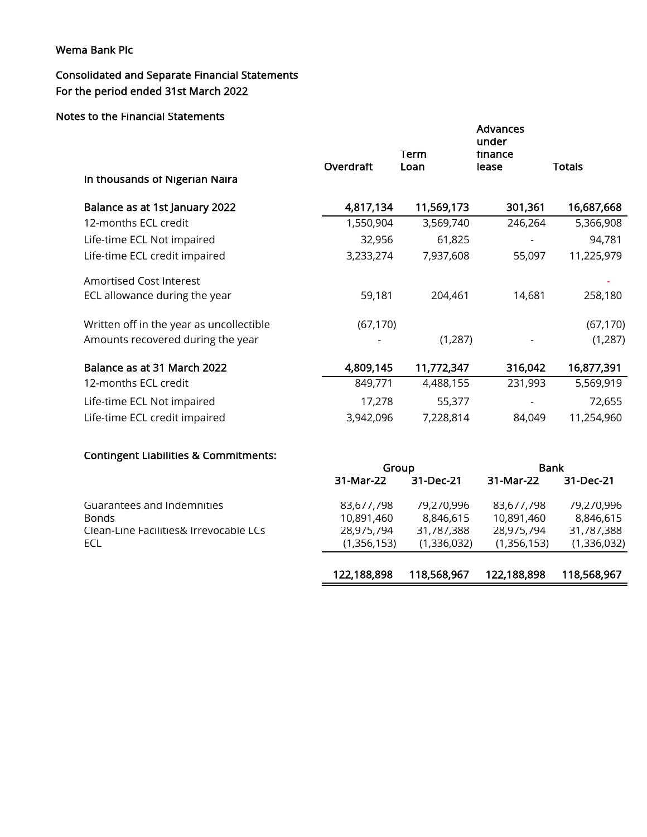# Consolidated and Separate Financial Statements For the period ended 31st March 2022

# Notes to the Financial Statements

| In thousands of Nigerian Naira                       | Overdraft                 | Term<br>Loan              | <b>Advances</b><br>under<br>tinance<br>lease | <b>Totals</b>             |
|------------------------------------------------------|---------------------------|---------------------------|----------------------------------------------|---------------------------|
| Balance as at 1st January 2022                       | 4,817,134                 | 11,569,173                | 301,361                                      | 16,687,668                |
| 12-months ECL credit                                 | 1,550,904                 | 3,569,740                 | 246,264                                      | 5,366,908                 |
| Life-time ECL Not impaired                           | 32,956                    | 61,825                    |                                              | 94,781                    |
| Life-time ECL credit impaired                        | 3,233,274                 | 7,937,608                 | 55,097                                       | 11,225,979                |
| <b>Amortised Cost Interest</b>                       |                           |                           |                                              |                           |
| ECL allowance during the year                        | 59,181                    | 204,461                   | 14,681                                       | 258,180                   |
| Written off in the year as uncollectible             | (67, 170)                 |                           |                                              | (67, 170)                 |
| Amounts recovered during the year                    |                           | (1, 287)                  |                                              | (1, 287)                  |
| Balance as at 31 March 2022                          | 4,809,145                 | 11,772,347                | 316,042                                      | 16,877,391                |
| 12-months ECL credit                                 | 849,771                   | 4,488,155                 | 231,993                                      | 5,569,919                 |
| Life-time ECL Not impaired                           | 17,278                    | 55,377                    |                                              | 72,655                    |
| Life-time ECL credit impaired                        | 3,942,096                 | 7,228,814                 | 84,049                                       | 11,254,960                |
| <b>Contingent Liabilities &amp; Commitments:</b>     |                           |                           |                                              |                           |
|                                                      |                           | Group                     |                                              | <b>Bank</b>               |
|                                                      | 31-Mar-22                 | 31-Dec-21                 | 31-Mar-22                                    | 31-Dec-21                 |
| Guarantees and Indemnities                           | 83,677,798                | 79,270,996                | 83,677,798                                   | 79,270,996                |
| <b>Bonds</b>                                         | 10,891,460                | 8,846,615                 | 10,891,460                                   | 8,846,615                 |
| Clean-Line Facilities& Irrevocable LCs<br><b>ECL</b> | 28,975,794<br>(1,356,153) | 31,787,388<br>(1,336,032) | 28,975,794<br>(1,356,153)                    | 31,787,388<br>(1,336,032) |
|                                                      |                           |                           |                                              |                           |

| 122,188,898 | 118,568,967 | 122,188,898 | 118,568,967 |
|-------------|-------------|-------------|-------------|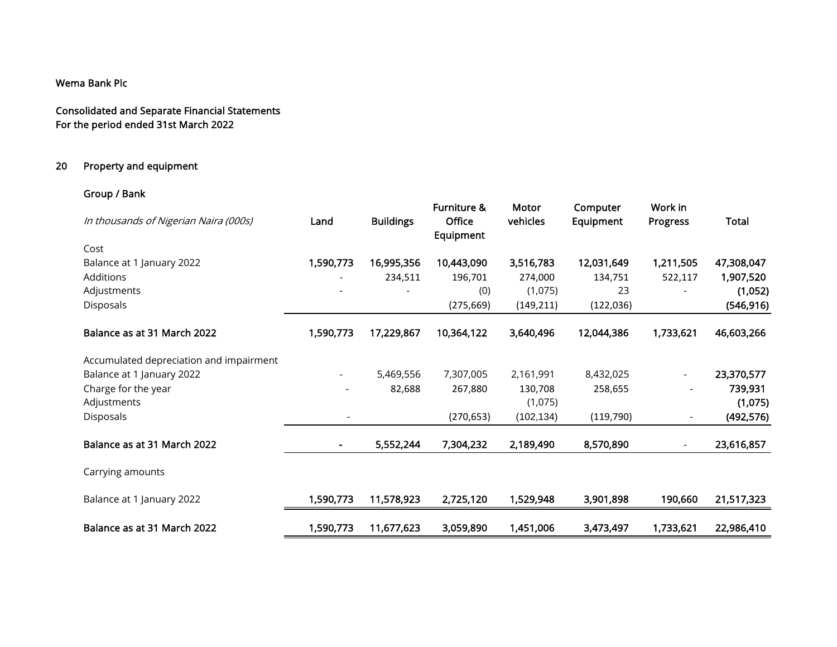Consolidated and Separate Financial Statements For the period ended 31st March 2022

# 20 Property and equipment

# Group / Bank

| In thousands of Nigerian Naira (000s)   | Land                         | <b>Buildings</b> | Furniture &<br><b>Office</b><br>Equipment | Motor<br>vehicles | Computer<br>Equipment | Work in<br>Progress      | Total      |
|-----------------------------------------|------------------------------|------------------|-------------------------------------------|-------------------|-----------------------|--------------------------|------------|
| Cost                                    |                              |                  |                                           |                   |                       |                          |            |
| Balance at 1 January 2022               | 1,590,773                    | 16,995,356       | 10,443,090                                | 3,516,783         | 12,031,649            | 1,211,505                | 47,308,047 |
| Additions                               |                              | 234,511          | 196,701                                   | 274,000           | 134,751               | 522,117                  | 1,907,520  |
| Adjustments                             |                              |                  | (0)                                       | (1,075)           | 23                    |                          | (1,052)    |
| Disposals                               |                              |                  | (275, 669)                                | (149, 211)        | (122, 036)            |                          | (546, 916) |
| Balance as at 31 March 2022             | 1,590,773                    | 17,229,867       | 10,364,122                                | 3,640,496         | 12,044,386            | 1,733,621                | 46,603,266 |
| Accumulated depreciation and impairment |                              |                  |                                           |                   |                       |                          |            |
| Balance at 1 January 2022               | $\overline{\phantom{0}}$     | 5,469,556        | 7,307,005                                 | 2,161,991         | 8,432,025             | $\overline{\phantom{a}}$ | 23,370,577 |
| Charge for the year                     |                              | 82,688           | 267,880                                   | 130,708           | 258,655               |                          | 739,931    |
| Adjustments                             |                              |                  |                                           | (1,075)           |                       |                          | (1,075)    |
| Disposals                               |                              |                  | (270, 653)                                | (102, 134)        | (119, 790)            |                          | (492, 576) |
| Balance as at 31 March 2022             | $\qquad \qquad \blacksquare$ | 5,552,244        | 7,304,232                                 | 2,189,490         | 8,570,890             |                          | 23,616,857 |
| Carrying amounts                        |                              |                  |                                           |                   |                       |                          |            |
| Balance at 1 January 2022               | 1,590,773                    | 11,578,923       | 2,725,120                                 | 1,529,948         | 3,901,898             | 190,660                  | 21,517,323 |
| Balance as at 31 March 2022             | 1,590,773                    | 11,677,623       | 3,059,890                                 | 1,451,006         | 3,473,497             | 1,733,621                | 22,986,410 |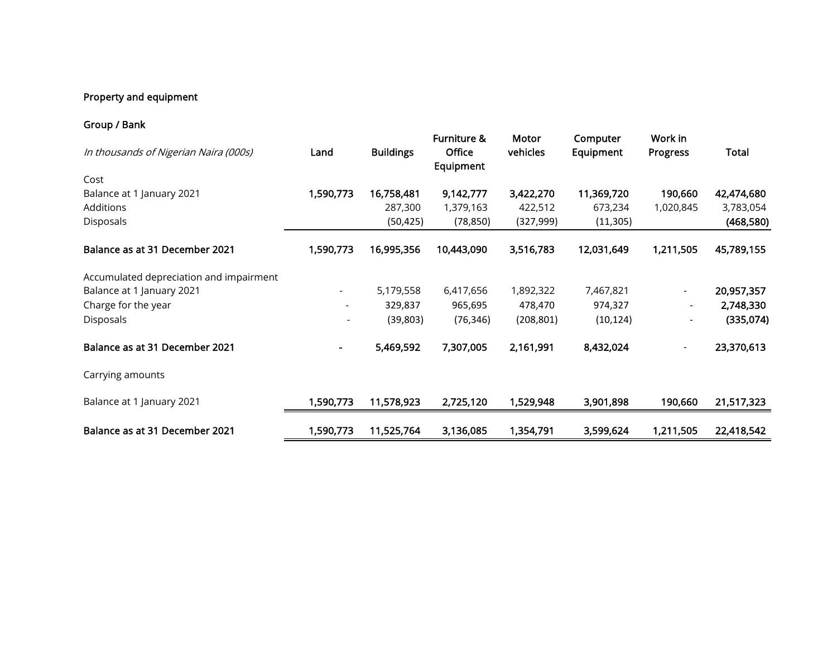# Property and equipment

# Group / Bank

| In thousands of Nigerian Naira (000s)   | Land                     | <b>Buildings</b> | Furniture &<br>Office<br>Equipment | Motor<br>vehicles | Computer<br>Equipment | Work in<br>Progress      | Total      |
|-----------------------------------------|--------------------------|------------------|------------------------------------|-------------------|-----------------------|--------------------------|------------|
| Cost                                    |                          |                  |                                    |                   |                       |                          |            |
| Balance at 1 January 2021               | 1,590,773                | 16,758,481       | 9,142,777                          | 3,422,270         | 11,369,720            | 190,660                  | 42,474,680 |
| <b>Additions</b>                        |                          | 287,300          | 1,379,163                          | 422,512           | 673,234               | 1,020,845                | 3,783,054  |
| Disposals                               |                          | (50, 425)        | (78, 850)                          | (327,999)         | (11, 305)             |                          | (468,580)  |
| Balance as at 31 December 2021          | 1,590,773                | 16,995,356       | 10,443,090                         | 3,516,783         | 12,031,649            | 1,211,505                | 45,789,155 |
| Accumulated depreciation and impairment |                          |                  |                                    |                   |                       |                          |            |
| Balance at 1 January 2021               | $\overline{\phantom{a}}$ | 5,179,558        | 6,417,656                          | 1,892,322         | 7,467,821             | $\overline{\phantom{a}}$ | 20,957,357 |
| Charge for the year                     |                          | 329,837          | 965,695                            | 478,470           | 974,327               | $\overline{\phantom{a}}$ | 2,748,330  |
| Disposals                               |                          | (39, 803)        | (76, 346)                          | (208, 801)        | (10, 124)             |                          | (335,074)  |
| Balance as at 31 December 2021          | $\blacksquare$           | 5,469,592        | 7,307,005                          | 2,161,991         | 8,432,024             | $\overline{\phantom{a}}$ | 23,370,613 |
| Carrying amounts                        |                          |                  |                                    |                   |                       |                          |            |
| Balance at 1 January 2021               | 1,590,773                | 11,578,923       | 2,725,120                          | 1,529,948         | 3,901,898             | 190,660                  | 21,517,323 |
| Balance as at 31 December 2021          | 1,590,773                | 11,525,764       | 3,136,085                          | 1,354,791         | 3,599,624             | 1,211,505                | 22,418,542 |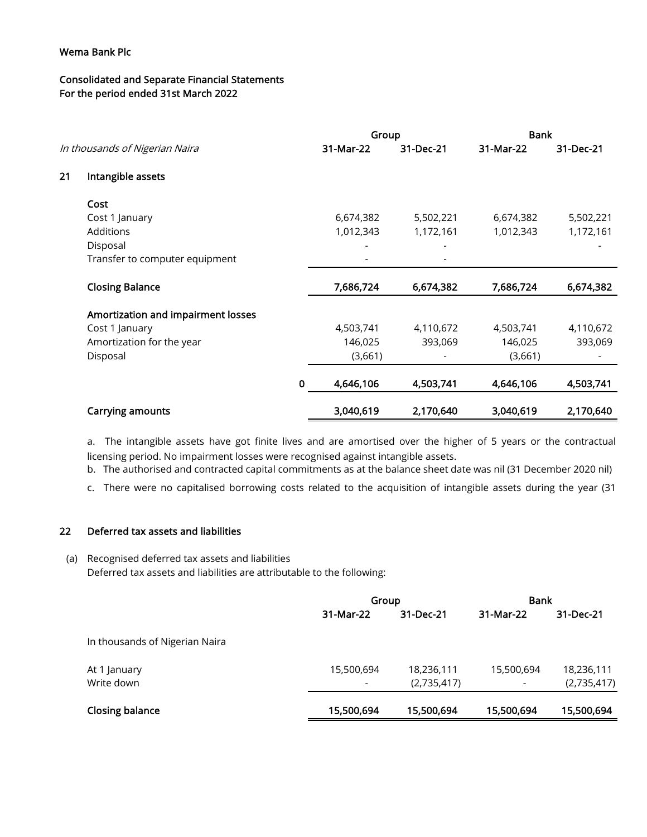# Consolidated and Separate Financial Statements For the period ended 31st March 2022

|    |                                    |           | Group     |           | <b>Bank</b> |           |
|----|------------------------------------|-----------|-----------|-----------|-------------|-----------|
|    | In thousands of Nigerian Naira     |           | 31-Mar-22 | 31-Dec-21 | 31-Mar-22   | 31-Dec-21 |
| 21 | Intangible assets                  |           |           |           |             |           |
|    | Cost                               |           |           |           |             |           |
|    | Cost 1 January                     |           | 6,674,382 | 5,502,221 | 6,674,382   | 5,502,221 |
|    | Additions                          |           | 1,012,343 | 1,172,161 | 1,012,343   | 1,172,161 |
|    | Disposal                           |           |           |           |             |           |
|    | Transfer to computer equipment     |           |           |           |             |           |
|    | <b>Closing Balance</b>             |           | 7,686,724 | 6,674,382 | 7,686,724   | 6,674,382 |
|    | Amortization and impairment losses |           |           |           |             |           |
|    | Cost 1 January                     |           | 4,503,741 | 4,110,672 | 4,503,741   | 4,110,672 |
|    | Amortization for the year          |           | 146,025   | 393,069   | 146,025     | 393,069   |
|    | Disposal                           |           | (3,661)   |           | (3,661)     |           |
|    |                                    | $\pmb{0}$ | 4,646,106 | 4,503,741 | 4,646,106   | 4,503,741 |
|    | Carrying amounts                   |           | 3,040,619 | 2,170,640 | 3,040,619   | 2,170,640 |

a. The intangible assets have got finite lives and are amortised over the higher of 5 years or the contractual licensing period. No impairment losses were recognised against intangible assets.

b. The authorised and contracted capital commitments as at the balance sheet date was nil (31 December 2020 nil)

c. There were no capitalised borrowing costs related to the acquisition of intangible assets during the year (31

# 22 Deferred tax assets and liabilities

(a) Recognised deferred tax assets and liabilities Deferred tax assets and liabilities are attributable to the following:

|                                | Group      |             | <b>Bank</b> |             |
|--------------------------------|------------|-------------|-------------|-------------|
|                                | 31-Mar-22  | 31-Dec-21   | 31-Mar-22   | 31-Dec-21   |
| In thousands of Nigerian Naira |            |             |             |             |
| At 1 January                   | 15,500,694 | 18,236,111  | 15,500,694  | 18,236,111  |
| Write down                     |            | (2,735,417) | ٠           | (2,735,417) |
| <b>Closing balance</b>         | 15,500,694 | 15,500,694  | 15,500,694  | 15,500,694  |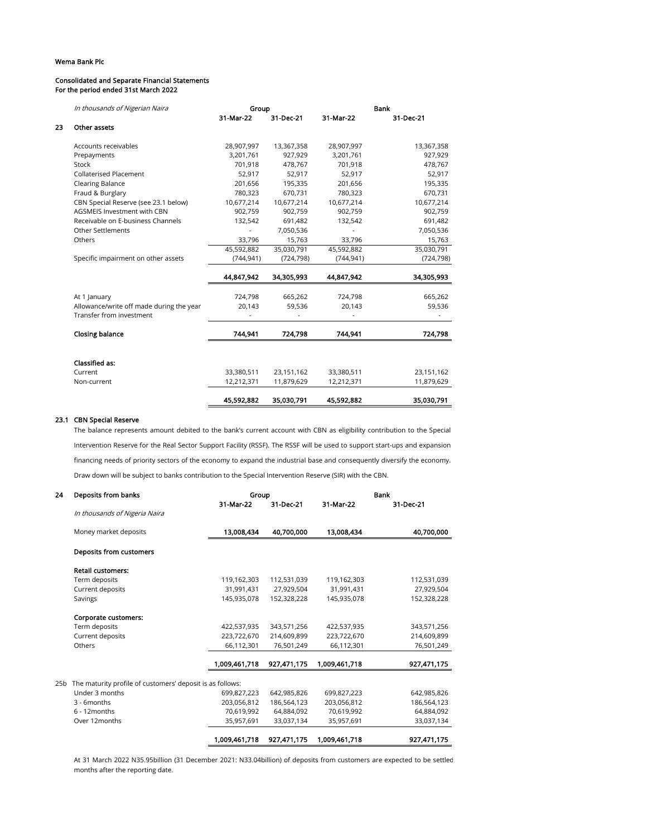#### Consolidated and Separate Financial Statements For the period ended 31st March 2022

| In thousands of Nigerian Naira       |                                          |            |            | Bank       |
|--------------------------------------|------------------------------------------|------------|------------|------------|
|                                      | 31-Mar-22                                | 31-Dec-21  | 31-Mar-22  | 31-Dec-21  |
| Other assets                         |                                          |            |            |            |
| Accounts receivables                 | 28,907,997                               | 13,367,358 | 28,907,997 | 13,367,358 |
| Prepayments                          | 3,201,761                                | 927,929    | 3,201,761  | 927,929    |
| Stock                                | 701,918                                  | 478,767    | 701,918    | 478,767    |
| <b>Collaterised Placement</b>        | 52,917                                   | 52,917     | 52.917     | 52,917     |
| <b>Clearing Balance</b>              | 201,656                                  | 195,335    | 201,656    | 195,335    |
| Fraud & Burglary                     | 780,323                                  | 670,731    | 780,323    | 670,731    |
| CBN Special Reserve (see 23.1 below) | 10,677,214                               | 10,677,214 | 10,677,214 | 10,677,214 |
| <b>AGSMEIS Investment with CBN</b>   | 902,759                                  | 902,759    | 902,759    | 902,759    |
| Receivable on E-business Channels    | 132,542                                  | 691,482    | 132,542    | 691,482    |
| <b>Other Settlements</b>             |                                          | 7,050,536  |            | 7,050,536  |
| Others                               | 33,796                                   | 15,763     | 33,796     | 15,763     |
|                                      | 45,592,882                               | 35,030,791 | 45,592,882 | 35,030,791 |
| Specific impairment on other assets  | (744, 941)                               | (724, 798) | (744, 941) | (724, 798) |
|                                      | 44,847,942                               | 34.305.993 | 44.847.942 | 34,305,993 |
| At 1 January                         | 724,798                                  | 665,262    | 724,798    | 665,262    |
|                                      | 20,143                                   | 59,536     | 20,143     | 59,536     |
| Transfer from investment             |                                          |            |            |            |
| Closing balance                      | 744,941                                  | 724,798    | 744,941    | 724,798    |
|                                      |                                          |            |            |            |
| <b>Classified as:</b>                |                                          |            |            |            |
| Current                              | 33,380,511                               | 23,151,162 | 33,380,511 | 23,151,162 |
| Non-current                          | 12,212,371                               | 11,879,629 | 12,212,371 | 11,879,629 |
|                                      | 45,592,882                               | 35,030,791 | 45,592,882 | 35,030,791 |
|                                      | Allowance/write off made during the year |            | Group      |            |

## 23.1 CBN Special Reserve

The balance represents amount debited to the bank's current account with CBN as eligibility contribution to the Special Intervention Reserve for the Real Sector Support Facility (RSSF). The RSSF will be used to support start-ups and expansion financing needs of priority sectors of the economy to expand the industrial base and consequently diversify the economy. Draw down will be subject to banks contribution to the Special Intervention Reserve (SIR) with the CBN.

| 24 | Deposits from banks                                           | Group         |             |               | Bank        |
|----|---------------------------------------------------------------|---------------|-------------|---------------|-------------|
|    |                                                               | 31-Mar-22     | 31-Dec-21   | 31-Mar-22     | 31-Dec-21   |
|    | In thousands of Nigeria Naira                                 |               |             |               |             |
|    | Money market deposits                                         | 13,008,434    | 40,700,000  | 13,008,434    | 40,700,000  |
|    | Deposits from customers                                       |               |             |               |             |
|    | <b>Retail customers:</b>                                      |               |             |               |             |
|    | Term deposits                                                 | 119,162,303   | 112,531,039 | 119,162,303   | 112,531,039 |
|    | Current deposits                                              | 31,991,431    | 27,929,504  | 31,991,431    | 27,929,504  |
|    | Savings                                                       | 145,935,078   | 152,328,228 | 145,935,078   | 152,328,228 |
|    | Corporate customers:                                          |               |             |               |             |
|    | Term deposits                                                 | 422,537,935   | 343,571,256 | 422,537,935   | 343,571,256 |
|    | Current deposits                                              | 223,722,670   | 214,609,899 | 223,722,670   | 214,609,899 |
|    | Others                                                        | 66,112,301    | 76,501,249  | 66,112,301    | 76,501,249  |
|    |                                                               | 1.009.461.718 | 927.471.175 | 1.009.461.718 | 927,471,175 |
|    | 25b The maturity profile of customers' deposit is as follows: |               |             |               |             |
|    | Under 3 months                                                | 699,827,223   | 642,985,826 | 699,827,223   | 642,985,826 |
|    | 3 - 6months                                                   | 203,056,812   | 186,564,123 | 203,056,812   | 186,564,123 |
|    | 6 - 12months                                                  | 70,619,992    | 64,884,092  | 70,619,992    | 64,884,092  |
|    | Over 12months                                                 | 35,957,691    | 33,037,134  | 35,957,691    | 33,037,134  |
|    |                                                               | 1,009,461,718 | 927,471,175 | 1,009,461,718 | 927,471,175 |

At 31 March 2022 N35.95billion (31 December 2021: N33.04billion) of deposits from customers are expected to be settled months after the reporting date.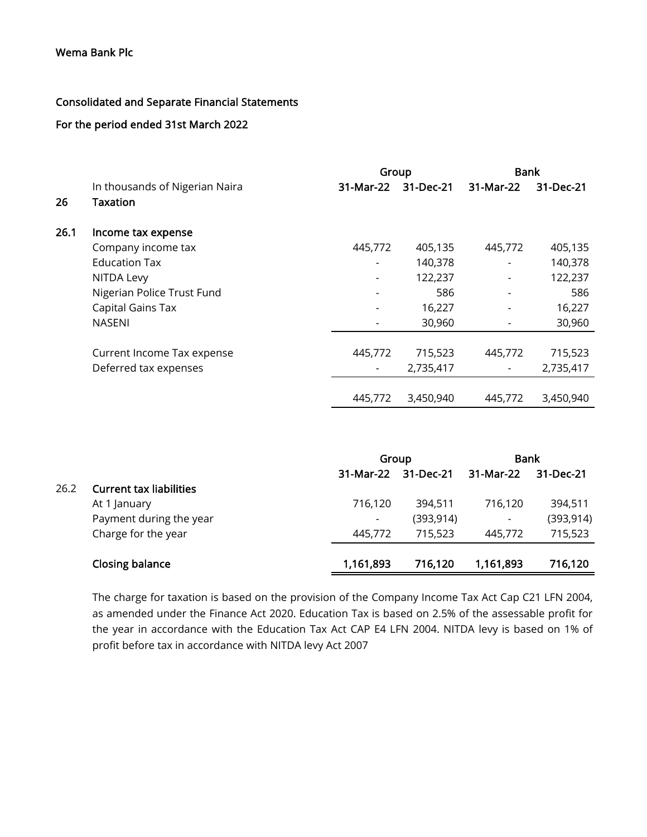# Consolidated and Separate Financial Statements

# For the period ended 31st March 2022

|      |                                | Group     |           | <b>Bank</b> |           |  |
|------|--------------------------------|-----------|-----------|-------------|-----------|--|
|      | In thousands of Nigerian Naira | 31-Mar-22 | 31-Dec-21 | 31-Mar-22   | 31-Dec-21 |  |
| 26   | Taxation                       |           |           |             |           |  |
| 26.1 | Income tax expense             |           |           |             |           |  |
|      | Company income tax             | 445,772   | 405,135   | 445,772     | 405,135   |  |
|      | <b>Education Tax</b>           |           | 140,378   |             | 140,378   |  |
|      | NITDA Levy                     |           | 122,237   |             | 122,237   |  |
|      | Nigerian Police Trust Fund     |           | 586       |             | 586       |  |
|      | Capital Gains Tax              |           | 16,227    |             | 16,227    |  |
|      | <b>NASENI</b>                  |           | 30,960    |             | 30,960    |  |
|      | Current Income Tax expense     | 445,772   | 715,523   | 445,772     | 715,523   |  |
|      | Deferred tax expenses          |           | 2,735,417 |             | 2,735,417 |  |
|      |                                | 445.772   | 3,450,940 | 445,772     | 3,450,940 |  |

|      |                                |                          | Group      |                | <b>Bank</b> |
|------|--------------------------------|--------------------------|------------|----------------|-------------|
|      |                                | 31-Mar-22                | 31-Dec-21  | 31-Mar-22      | 31-Dec-21   |
| 26.2 | <b>Current tax liabilities</b> |                          |            |                |             |
|      | At 1 January                   | 716,120                  | 394,511    | 716,120        | 394,511     |
|      | Payment during the year        | $\overline{\phantom{a}}$ | (393, 914) | $\blacksquare$ | (393, 914)  |
|      | Charge for the year            | 445.772                  | 715,523    | 445,772        | 715,523     |
|      | Closing balance                | 1,161,893                | 716,120    | 1,161,893      | 716,120     |

The charge for taxation is based on the provision of the Company Income Tax Act Cap C21 LFN 2004, as amended under the Finance Act 2020. Education Tax is based on 2.5% of the assessable profit for the year in accordance with the Education Tax Act CAP E4 LFN 2004. NITDA levy is based on 1% of profit before tax in accordance with NITDA levy Act 2007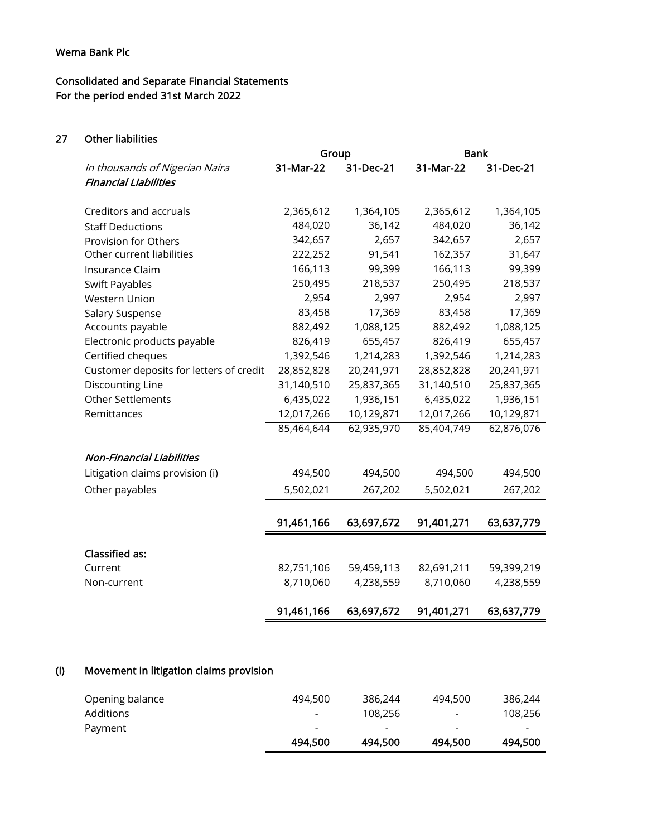# Consolidated and Separate Financial Statements For the period ended 31st March 2022

27 Other liabilities

|                                         | Group      |            | <b>Bank</b> |            |
|-----------------------------------------|------------|------------|-------------|------------|
| In thousands of Nigerian Naira          | 31-Mar-22  | 31-Dec-21  | 31-Mar-22   | 31-Dec-21  |
| <b>Financial Liabilities</b>            |            |            |             |            |
|                                         |            |            |             |            |
| Creditors and accruals                  | 2,365,612  | 1,364,105  | 2,365,612   | 1,364,105  |
| <b>Staff Deductions</b>                 | 484,020    | 36,142     | 484,020     | 36,142     |
| Provision for Others                    | 342,657    | 2,657      | 342,657     | 2,657      |
| Other current liabilities               | 222,252    | 91,541     | 162,357     | 31,647     |
| Insurance Claim                         | 166,113    | 99,399     | 166,113     | 99,399     |
| Swift Payables                          | 250,495    | 218,537    | 250,495     | 218,537    |
| Western Union                           | 2,954      | 2,997      | 2,954       | 2,997      |
| Salary Suspense                         | 83,458     | 17,369     | 83,458      | 17,369     |
| Accounts payable                        | 882,492    | 1,088,125  | 882,492     | 1,088,125  |
| Electronic products payable             | 826,419    | 655,457    | 826,419     | 655,457    |
| Certified cheques                       | 1,392,546  | 1,214,283  | 1,392,546   | 1,214,283  |
| Customer deposits for letters of credit | 28,852,828 | 20,241,971 | 28,852,828  | 20,241,971 |
| <b>Discounting Line</b>                 | 31,140,510 | 25,837,365 | 31,140,510  | 25,837,365 |
| <b>Other Settlements</b>                | 6,435,022  | 1,936,151  | 6,435,022   | 1,936,151  |
| Remittances                             | 12,017,266 | 10,129,871 | 12,017,266  | 10,129,871 |
|                                         | 85,464,644 | 62,935,970 | 85,404,749  | 62,876,076 |
|                                         |            |            |             |            |
| <b>Non-Financial Liabilities</b>        |            |            |             |            |
| Litigation claims provision (i)         | 494,500    | 494,500    | 494,500     | 494,500    |
| Other payables                          | 5,502,021  | 267,202    | 5,502,021   | 267,202    |
|                                         |            |            |             |            |
|                                         | 91,461,166 | 63,697,672 | 91,401,271  | 63,637,779 |
|                                         |            |            |             |            |
| <b>Classified as:</b>                   |            |            |             |            |
| Current                                 | 82,751,106 | 59,459,113 | 82,691,211  | 59,399,219 |
| Non-current                             | 8,710,060  | 4,238,559  | 8,710,060   | 4,238,559  |
|                                         |            |            |             |            |
|                                         | 91,461,166 | 63,697,672 | 91,401,271  | 63,637,779 |
|                                         |            |            |             |            |

# (i) Movement in litigation claims provision

|                 | 494.500                  | 494,500 | 494,500                  | 494,500                  |
|-----------------|--------------------------|---------|--------------------------|--------------------------|
| Payment         | $\overline{\phantom{0}}$ | -       | $\overline{\phantom{a}}$ | $\overline{\phantom{a}}$ |
| Additions       | ۰                        | 108,256 | $\overline{\phantom{a}}$ | 108.256                  |
| Opening balance | 494,500                  | 386.244 | 494,500                  | 386.244                  |
|                 |                          |         |                          |                          |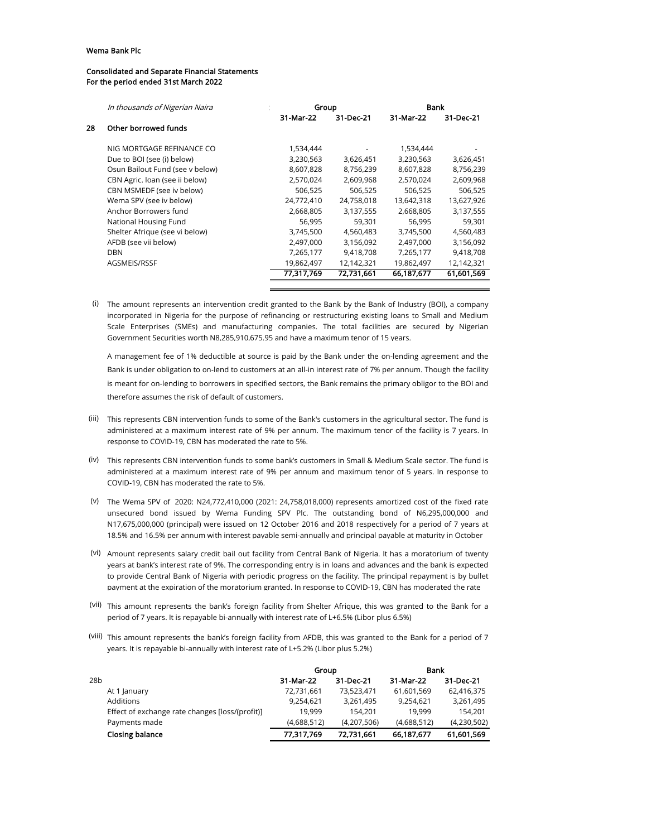#### Consolidated and Separate Financial Statements For the period ended 31st March 2022

|    | In thousands of Nigerian Naira  |            | Group      |            | Bank       |  |  |
|----|---------------------------------|------------|------------|------------|------------|--|--|
|    |                                 | 31-Mar-22  | 31-Dec-21  | 31-Mar-22  | 31-Dec-21  |  |  |
| 28 | Other borrowed funds            |            |            |            |            |  |  |
|    | NIG MORTGAGE REFINANCE CO       | 1,534,444  |            | 1,534,444  |            |  |  |
|    | Due to BOI (see (i) below)      | 3,230,563  | 3,626,451  | 3,230,563  | 3,626,451  |  |  |
|    | Osun Bailout Fund (see v below) | 8,607,828  | 8,756,239  | 8,607,828  | 8,756,239  |  |  |
|    | CBN Agric. Ioan (see ii below)  | 2,570,024  | 2,609,968  | 2,570,024  | 2,609,968  |  |  |
|    | CBN MSMEDF (see iv below)       | 506,525    | 506,525    | 506,525    | 506,525    |  |  |
|    | Wema SPV (see iv below)         | 24,772,410 | 24,758,018 | 13,642,318 | 13,627,926 |  |  |
|    | Anchor Borrowers fund           | 2,668,805  | 3,137,555  | 2,668,805  | 3,137,555  |  |  |
|    | National Housing Fund           | 56,995     | 59,301     | 56,995     | 59,301     |  |  |
|    | Shelter Afrique (see vi below)  | 3,745,500  | 4,560,483  | 3,745,500  | 4,560,483  |  |  |
|    | AFDB (see vii below)            | 2,497,000  | 3,156,092  | 2,497,000  | 3,156,092  |  |  |
|    | <b>DBN</b>                      | 7,265,177  | 9,418,708  | 7,265,177  | 9,418,708  |  |  |
|    | AGSMEIS/RSSF                    | 19,862,497 | 12,142,321 | 19,862,497 | 12,142,321 |  |  |
|    |                                 | 77,317,769 | 72.731.661 | 66.187.677 | 61,601,569 |  |  |
|    |                                 |            |            |            |            |  |  |

 $(i)$  The amount represents an intervention credit granted to the Bank by the Bank of Industry (BOI), a company incorporated in Nigeria for the purpose of refinancing or restructuring existing loans to Small and Medium Scale Enterprises (SMEs) and manufacturing companies. The total facilities are secured by Nigerian Government Securities worth N8,285,910,675.95 and have a maximum tenor of 15 years.

A management fee of 1% deductible at source is paid by the Bank under the on-lending agreement and the Bank is under obligation to on-lend to customers at an all-in interest rate of 7% per annum. Though the facility is meant for on-lending to borrowers in specified sectors, the Bank remains the primary obligor to the BOI and therefore assumes the risk of default of customers.

- (iii) This represents CBN intervention funds to some of the Bank's customers in the agricultural sector. The fund is administered at a maximum interest rate of 9% per annum. The maximum tenor of the facility is 7 years. In response to COVID-19, CBN has moderated the rate to 5%.
- (iv) This represents CBN intervention funds to some bank's customers in Small & Medium Scale sector. The fund is administered at a maximum interest rate of 9% per annum and maximum tenor of 5 years. In response to COVID-19, CBN has moderated the rate to 5%.
- (v) The Wema SPV of 2020: N24,772,410,000 (2021: 24,758,018,000) represents amortized cost of the fixed rate unsecured bond issued by Wema Funding SPV Plc. The outstanding bond of N6,295,000,000 and N17,675,000,000 (principal) were issued on 12 October 2016 and 2018 respectively for a period of 7 years at 18.5% and 16.5% per annum with interest payable semi-annually and principal payable at maturity in October
- (vi) Amount represents salary credit bail out facility from Central Bank of Nigeria. It has a moratorium of twenty years at bank's interest rate of 9%. The corresponding entry is in loans and advances and the bank is expected to provide Central Bank of Nigeria with periodic progress on the facility. The principal repayment is by bullet payment at the expiration of the moratorium granted. In response to COVID-19, CBN has moderated the rate
- (vii) This amount represents the bank's foreign facility from Shelter Afrique, this was granted to the Bank for a period of 7 years. It is repayable bi-annually with interest rate of L+6.5% (Libor plus 6.5%)
- (viii) This amount represents the bank's foreign facility from AFDB, this was granted to the Bank for a period of 7 years. It is repayable bi-annually with interest rate of L+5.2% (Libor plus 5.2%)

|     |                                                 | Group       |             | Bank        |             |
|-----|-------------------------------------------------|-------------|-------------|-------------|-------------|
| 28b |                                                 | 31-Mar-22   | 31-Dec-21   | 31-Mar-22   | 31-Dec-21   |
|     | At 1 January                                    | 72,731,661  | 73,523,471  | 61,601,569  | 62,416,375  |
|     | <b>Additions</b>                                | 9,254,621   | 3,261,495   | 9.254.621   | 3,261,495   |
|     | Effect of exchange rate changes [loss/(profit)] | 19.999      | 154.201     | 19.999      | 154.201     |
|     | Payments made                                   | (4,688,512) | (4,207,506) | (4,688,512) | (4,230,502) |
|     | Closing balance                                 | 77,317,769  | 72,731,661  | 66,187,677  | 61,601,569  |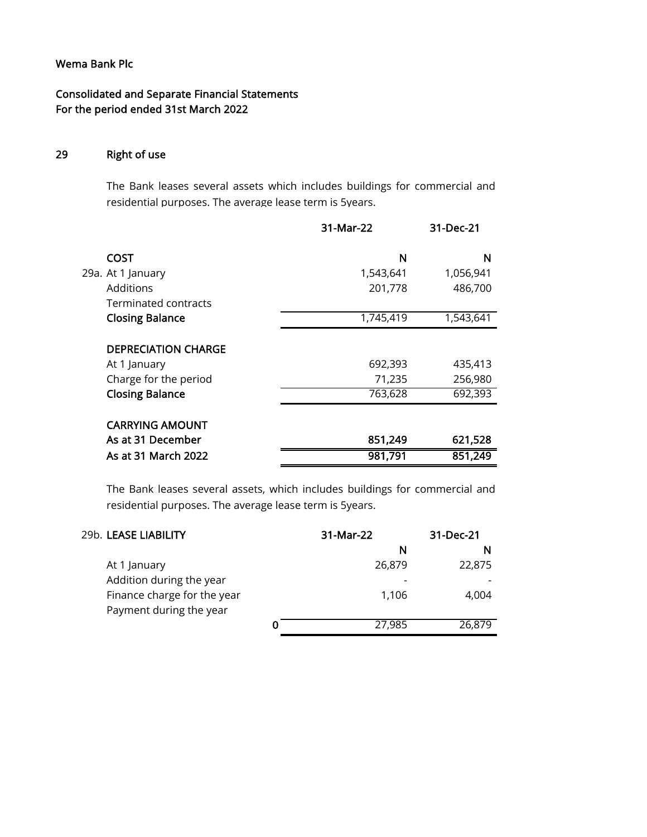Consolidated and Separate Financial Statements For the period ended 31st March 2022

#### 29 Right of use

The Bank leases several assets which includes buildings for commercial and residential purposes. The average lease term is 5years.

|                                                                                               | 31-Mar-22                    | 31-Dec-21                     |
|-----------------------------------------------------------------------------------------------|------------------------------|-------------------------------|
| <b>COST</b>                                                                                   | N                            | N                             |
| 29a. At 1 January                                                                             | 1,543,641                    | 1,056,941                     |
| Additions                                                                                     | 201,778                      | 486,700                       |
| Terminated contracts                                                                          |                              |                               |
| <b>Closing Balance</b>                                                                        | 1,745,419                    | 1,543,641                     |
| <b>DEPRECIATION CHARGE</b><br>At 1 January<br>Charge for the period<br><b>Closing Balance</b> | 692,393<br>71,235<br>763,628 | 435,413<br>256,980<br>692,393 |
| <b>CARRYING AMOUNT</b><br>As at 31 December                                                   | 851,249                      | 621,528                       |
| As at 31 March 2022                                                                           | 981,791                      | 851,249                       |

The Bank leases several assets, which includes buildings for commercial and residential purposes. The average lease term is 5years.

| 29b. LEASE LIABILITY        |   | 31-Mar-22<br>31-Dec-21 |        |
|-----------------------------|---|------------------------|--------|
|                             |   | N                      | N      |
| At 1 January                |   | 26,879                 | 22,875 |
| Addition during the year    |   |                        |        |
| Finance charge for the year |   | 1,106                  | 4,004  |
| Payment during the year     |   |                        |        |
|                             | O | 27,985                 | 26,879 |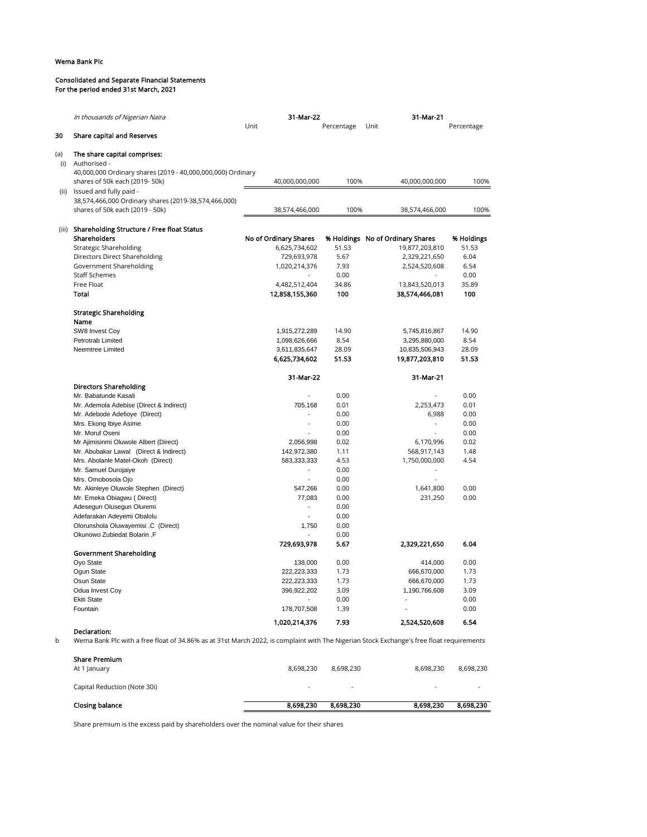#### Consolidated and Separate Financial Statements For the period ended 31st March, 2021

|     | In thousands of Nigerian Naira                                                                                                           | 31-Mar-22             |            | 31-Mar-21                        |            |
|-----|------------------------------------------------------------------------------------------------------------------------------------------|-----------------------|------------|----------------------------------|------------|
|     |                                                                                                                                          | Unit                  | Percentage | Unit                             | Percentage |
| 30  | <b>Share capital and Reserves</b>                                                                                                        |                       |            |                                  |            |
| (a) | The share capital comprises:                                                                                                             |                       |            |                                  |            |
| (i) | Authorised -                                                                                                                             |                       |            |                                  |            |
|     | 40,000,000 Ordinary shares (2019 - 40,000,000,000) Ordinary<br>shares of 50k each (2019-50k)                                             | 40,000,000,000        | 100%       | 40,000,000,000                   | 100%       |
|     | (ii) Issued and fully paid -                                                                                                             |                       |            |                                  |            |
|     | 38,574,466,000 Ordinary shares (2019-38,574,466,000)                                                                                     |                       |            |                                  |            |
|     | shares of 50k each (2019 - 50k)                                                                                                          | 38,574,466,000        | 100%       | 38,574,466,000                   | 100%       |
|     | (iii) Shareholding Structure / Free float Status                                                                                         |                       |            |                                  |            |
|     | Shareholders                                                                                                                             | No of Ordinary Shares |            | % Holdings No of Ordinary Shares | % Holdings |
|     | <b>Strategic Shareholding</b>                                                                                                            | 6,625,734,602         | 51.53      | 19,877,203,810                   | 51.53      |
|     | Directors Direct Shareholding                                                                                                            | 729,693,978           | 5.67       | 2,329,221,650                    | 6.04       |
|     | Government Shareholding                                                                                                                  | 1,020,214,376         | 7.93       | 2,524,520,608                    | 6.54       |
|     | <b>Staff Schemes</b>                                                                                                                     | $\sim$                | 0.00       | $\sim$                           | 0.00       |
|     | Free Float                                                                                                                               | 4,482,512,404         | 34.86      | 13,843,520,013                   | 35.89      |
|     | Total                                                                                                                                    | 12,858,155,360        | 100        | 38,574,466,081                   | 100        |
|     | <b>Strategic Shareholding</b>                                                                                                            |                       |            |                                  |            |
|     | Name                                                                                                                                     |                       |            |                                  |            |
|     | SW8 Invest Coy                                                                                                                           | 1,915,272,289         | 14.90      | 5,745,816,867                    | 14.90      |
|     | Petrotrab Limited                                                                                                                        | 1,098,626,666         | 8.54       | 3,295,880,000                    | 8.54       |
|     | Neemtree Limited                                                                                                                         | 3,611,835,647         | 28.09      | 10,835,506,943                   | 28.09      |
|     |                                                                                                                                          | 6,625,734,602         | 51.53      | 19,877,203,810                   | 51.53      |
|     |                                                                                                                                          | 31-Mar-22             |            | 31-Mar-21                        |            |
|     | <b>Directors Shareholding</b>                                                                                                            |                       |            |                                  |            |
|     | Mr. Babatunde Kasali                                                                                                                     | $\overline{a}$        | 0.00       |                                  | 0.00       |
|     | Mr. Ademola Adebise (Direct & Indirect)                                                                                                  | 705,168               | 0.01       | 2,253,473                        | 0.01       |
|     | Mr. Adebode Adefioye (Direct)                                                                                                            | $\overline{a}$        | 0.00       | 6,988                            | 0.00       |
|     | Mrs. Ekong Ibiye Asime                                                                                                                   | $\overline{a}$        | 0.00       |                                  | 0.00       |
|     | Mr. Moruf Oseni                                                                                                                          | $\overline{a}$        | 0.00       | $\overline{a}$                   | 0.00       |
|     | Mr Ajimisinmi Oluwole Albert (Direct)                                                                                                    | 2,056,998             | 0.02       | 6,170,996                        | 0.02       |
|     | Mr. Abubakar Lawal (Direct & Indirect)                                                                                                   | 142,972,380           | 1.11       | 568,917,143                      | 1.48       |
|     | Mrs. Abolanle Matel-Okoh (Direct)                                                                                                        | 583,333,333           | 4.53       | 1,750,000,000                    | 4.54       |
|     | Mr. Samuel Durojaiye                                                                                                                     |                       | 0.00       |                                  |            |
|     | Mrs. Omobosola Ojo                                                                                                                       | $\overline{a}$        | 0.00       |                                  |            |
|     | Mr. Akinleye Oluwole Stephen (Direct)                                                                                                    | 547,266               | 0.00       | 1,641,800                        | 0.00       |
|     | Mr. Emeka Obiagwu (Direct)                                                                                                               | 77,083                | 0.00       | 231,250                          | 0.00       |
|     | Adesegun Olusegun Oluremi                                                                                                                | $\overline{a}$        | 0.00       |                                  |            |
|     | Adefarakan Adeyemi Obalolu                                                                                                               | $\overline{a}$        | 0.00       |                                  |            |
|     | Olorunshola Oluwayemisi .C (Direct)                                                                                                      | 1,750                 | 0.00       |                                  |            |
|     | Okunowo Zubiedat Bolarin .F                                                                                                              |                       | 0.00       |                                  |            |
|     |                                                                                                                                          | 729,693,978           | 5.67       | 2,329,221,650                    | 6.04       |
|     | Government Shareholding                                                                                                                  |                       |            |                                  |            |
|     | Oyo State                                                                                                                                | 138,000               | 0.00       | 414,000                          | 0.00       |
|     | Oqun State                                                                                                                               | 222,223,333           | 1.73       | 666,670,000                      | 1.73       |
|     | Osun State                                                                                                                               | 222,223,333           | 1.73       | 666,670,000                      | 1.73       |
|     | Odua Invest Coy                                                                                                                          | 396,922,202           | 3.09       | 1,190,766,608                    | 3.09       |
|     | <b>Ekiti State</b>                                                                                                                       |                       | 0.00       |                                  | 0.00       |
|     | Fountain                                                                                                                                 | 178,707,508           | 1.39       |                                  | 0.00       |
|     |                                                                                                                                          | 1,020,214,376         | 7.93       | 2,524,520,608                    | 6.54       |
|     | Declaration:                                                                                                                             |                       |            |                                  |            |
| b   | Wema Bank Plc with a free float of 34.86% as at 31st March 2022, is complaint with The Nigerian Stock Exchange's free float requirements |                       |            |                                  |            |
|     |                                                                                                                                          |                       |            |                                  |            |

Share Premium At 1 January 8,698,230 8,698,230 8,698,230 8,698,230 Capital Reduction (Note 30i) - - - - Closing balance **8,698,230** 8,698,230 8,698,230 8,698,230 8,698,230 8,698,230

Share premium is the excess paid by shareholders over the nominal value for their shares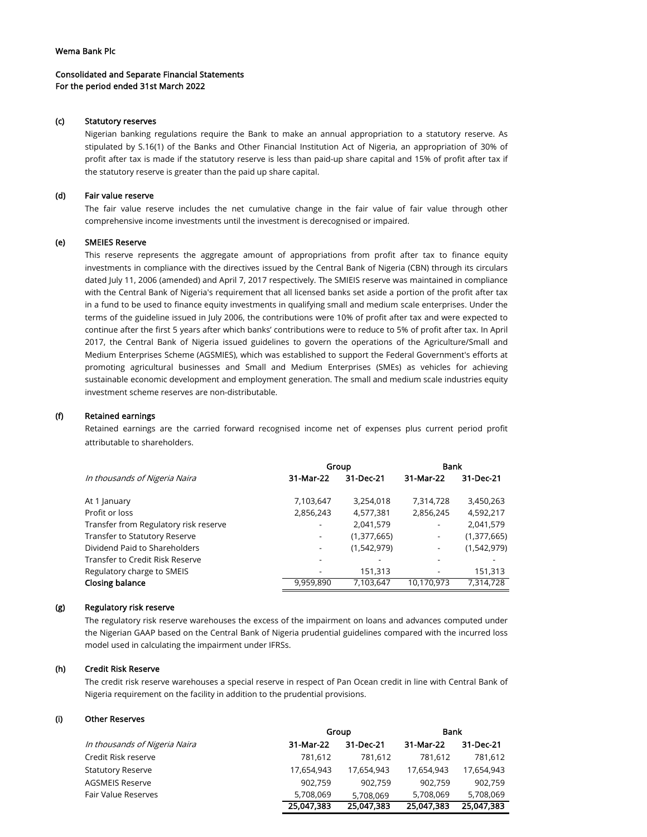## Consolidated and Separate Financial Statements For the period ended 31st March 2022

## (c) Statutory reserves

Nigerian banking regulations require the Bank to make an annual appropriation to a statutory reserve. As stipulated by S.16(1) of the Banks and Other Financial Institution Act of Nigeria, an appropriation of 30% of profit after tax is made if the statutory reserve is less than paid-up share capital and 15% of profit after tax if the statutory reserve is greater than the paid up share capital.

## (d) Fair value reserve

The fair value reserve includes the net cumulative change in the fair value of fair value through other comprehensive income investments until the investment is derecognised or impaired.

## (e) SMEIES Reserve

This reserve represents the aggregate amount of appropriations from profit after tax to finance equity investments in compliance with the directives issued by the Central Bank of Nigeria (CBN) through its circulars dated July 11, 2006 (amended) and April 7, 2017 respectively. The SMIEIS reserve was maintained in compliance with the Central Bank of Nigeria's requirement that all licensed banks set aside a portion of the profit after tax in a fund to be used to finance equity investments in qualifying small and medium scale enterprises. Under the terms of the guideline issued in July 2006, the contributions were 10% of profit after tax and were expected to continue after the first 5 years after which banks' contributions were to reduce to 5% of profit after tax. In April 2017, the Central Bank of Nigeria issued guidelines to govern the operations of the Agriculture/Small and Medium Enterprises Scheme (AGSMIES), which was established to support the Federal Government's efforts at promoting agricultural businesses and Small and Medium Enterprises (SMEs) as vehicles for achieving sustainable economic development and employment generation. The small and medium scale industries equity investment scheme reserves are non-distributable.

## (f) Retained earnings

Retained earnings are the carried forward recognised income net of expenses plus current period profit attributable to shareholders.

|                                       | Group     |             | <b>Bank</b>              |             |
|---------------------------------------|-----------|-------------|--------------------------|-------------|
| In thousands of Nigeria Naira         | 31-Mar-22 | 31-Dec-21   | 31-Mar-22                | 31-Dec-21   |
| At 1 January                          | 7,103,647 | 3,254,018   | 7,314,728                | 3,450,263   |
| Profit or loss                        | 2,856,243 | 4,577,381   | 2,856,245                | 4,592,217   |
| Transfer from Regulatory risk reserve |           | 2,041,579   | $\overline{\phantom{a}}$ | 2,041,579   |
| Transfer to Statutory Reserve         | ۰         | (1,377,665) | $\overline{\phantom{a}}$ | (1,377,665) |
| Dividend Paid to Shareholders         |           | (1,542,979) |                          | (1,542,979) |
| Transfer to Credit Risk Reserve       |           |             |                          |             |
| Regulatory charge to SMEIS            |           | 151,313     |                          | 151,313     |
| Closing balance                       | 9,959,890 | 7,103,647   | 10,170,973               | 7,314,728   |

## (g) Regulatory risk reserve

The regulatory risk reserve warehouses the excess of the impairment on loans and advances computed under the Nigerian GAAP based on the Central Bank of Nigeria prudential guidelines compared with the incurred loss model used in calculating the impairment under IFRSs.

## (h) Credit Risk Reserve

The credit risk reserve warehouses a special reserve in respect of Pan Ocean credit in line with Central Bank of Nigeria requirement on the facility in addition to the prudential provisions.

## (i) Other Reserves

|                               |            | Group      |            | <b>Bank</b> |  |
|-------------------------------|------------|------------|------------|-------------|--|
| In thousands of Nigeria Naira | 31-Mar-22  | 31-Dec-21  | 31-Mar-22  | 31-Dec-21   |  |
| Credit Risk reserve           | 781.612    | 781.612    | 781.612    | 781,612     |  |
| <b>Statutory Reserve</b>      | 17,654,943 | 17.654.943 | 17.654.943 | 17,654,943  |  |
| <b>AGSMEIS Reserve</b>        | 902.759    | 902.759    | 902.759    | 902,759     |  |
| <b>Fair Value Reserves</b>    | 5,708,069  | 5,708,069  | 5.708.069  | 5,708,069   |  |
|                               | 25,047,383 | 25,047,383 | 25,047,383 | 25,047,383  |  |